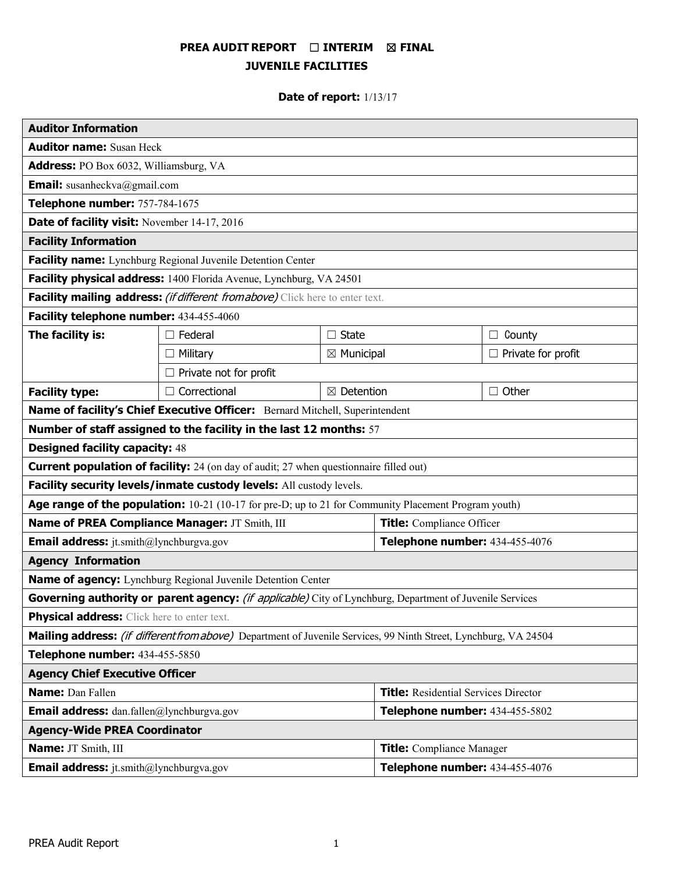# **PREA AUDIT REPORT** ☐ **INTERIM** ☒ **FINAL JUVENILE FACILITIES**

# **Date of report:** 1/13/17

| <b>Auditor Information</b>                                                                                              |                               |                       |                                             |                           |  |
|-------------------------------------------------------------------------------------------------------------------------|-------------------------------|-----------------------|---------------------------------------------|---------------------------|--|
| <b>Auditor name: Susan Heck</b>                                                                                         |                               |                       |                                             |                           |  |
| <b>Address:</b> PO Box 6032, Williamsburg, VA                                                                           |                               |                       |                                             |                           |  |
| <b>Email:</b> susanheckva@gmail.com                                                                                     |                               |                       |                                             |                           |  |
| Telephone number: 757-784-1675                                                                                          |                               |                       |                                             |                           |  |
| Date of facility visit: November 14-17, 2016                                                                            |                               |                       |                                             |                           |  |
| <b>Facility Information</b>                                                                                             |                               |                       |                                             |                           |  |
| Facility name: Lynchburg Regional Juvenile Detention Center                                                             |                               |                       |                                             |                           |  |
| Facility physical address: 1400 Florida Avenue, Lynchburg, VA 24501                                                     |                               |                       |                                             |                           |  |
| Facility mailing address: (if different from above) Click here to enter text.                                           |                               |                       |                                             |                           |  |
| Facility telephone number: 434-455-4060                                                                                 |                               |                       |                                             |                           |  |
| The facility is:                                                                                                        | Federal<br>$\Box$ State       |                       |                                             | County<br>$\Box$          |  |
|                                                                                                                         | $\Box$ Military               | $\boxtimes$ Municipal |                                             | $\Box$ Private for profit |  |
|                                                                                                                         | $\Box$ Private not for profit |                       |                                             |                           |  |
| <b>Facility type:</b>                                                                                                   | $\Box$ Correctional           | $\boxtimes$ Detention |                                             | $\Box$ Other              |  |
| Name of facility's Chief Executive Officer: Bernard Mitchell, Superintendent                                            |                               |                       |                                             |                           |  |
| Number of staff assigned to the facility in the last 12 months: 57                                                      |                               |                       |                                             |                           |  |
| <b>Designed facility capacity: 48</b>                                                                                   |                               |                       |                                             |                           |  |
| <b>Current population of facility:</b> 24 (on day of audit; 27 when questionnaire filled out)                           |                               |                       |                                             |                           |  |
| Facility security levels/inmate custody levels: All custody levels.                                                     |                               |                       |                                             |                           |  |
| Age range of the population: 10-21 (10-17 for pre-D; up to 21 for Community Placement Program youth)                    |                               |                       |                                             |                           |  |
| Name of PREA Compliance Manager: JT Smith, III                                                                          |                               |                       | <b>Title:</b> Compliance Officer            |                           |  |
| <b>Email address:</b> jt.smith@lynchburgva.gov                                                                          |                               |                       | Telephone number: 434-455-4076              |                           |  |
| <b>Agency Information</b>                                                                                               |                               |                       |                                             |                           |  |
| Name of agency: Lynchburg Regional Juvenile Detention Center                                                            |                               |                       |                                             |                           |  |
| Governing authority or parent agency: (if applicable) City of Lynchburg, Department of Juvenile Services                |                               |                       |                                             |                           |  |
| Physical address: Click here to enter text.                                                                             |                               |                       |                                             |                           |  |
| <b>Mailing address:</b> (if different from above) Department of Juvenile Services, 99 Ninth Street, Lynchburg, VA 24504 |                               |                       |                                             |                           |  |
| Telephone number: 434-455-5850                                                                                          |                               |                       |                                             |                           |  |
| <b>Agency Chief Executive Officer</b>                                                                                   |                               |                       |                                             |                           |  |
| <b>Name: Dan Fallen</b>                                                                                                 |                               |                       | <b>Title:</b> Residential Services Director |                           |  |
| <b>Email address:</b> dan.fallen@lynchburgva.gov                                                                        |                               |                       | Telephone number: 434-455-5802              |                           |  |
| <b>Agency-Wide PREA Coordinator</b>                                                                                     |                               |                       |                                             |                           |  |
| Name: JT Smith, III                                                                                                     |                               |                       | <b>Title:</b> Compliance Manager            |                           |  |
| <b>Email address:</b> jt.smith@lynchburgva.gov                                                                          |                               |                       | Telephone number: 434-455-4076              |                           |  |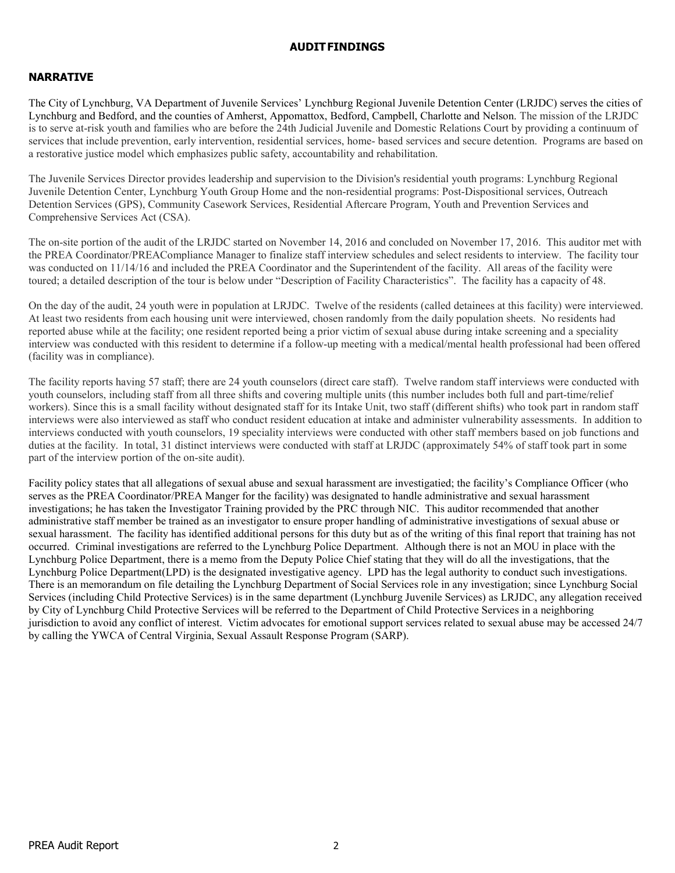#### **AUDITFINDINGS**

# **NARRATIVE**

The City of Lynchburg, VA Department of Juvenile Services' Lynchburg Regional Juvenile Detention Center (LRJDC) serves the cities of Lynchburg and Bedford, and the counties of Amherst, Appomattox, Bedford, Campbell, Charlotte and Nelson. The mission of the LRJDC is to serve at-risk youth and families who are before the 24th Judicial Juvenile and Domestic Relations Court by providing a continuum of services that include prevention, early intervention, residential services, home- based services and secure detention. Programs are based on a restorative justice model which emphasizes public safety, accountability and rehabilitation.

The Juvenile Services Director provides leadership and supervision to the Division's residential youth programs: Lynchburg Regional Juvenile Detention Center, Lynchburg Youth Group Home and the non-residential programs: Post-Dispositional services, Outreach Detention Services (GPS), Community Casework Services, Residential Aftercare Program, Youth and Prevention Services and Comprehensive Services Act (CSA).

The on-site portion of the audit of the LRJDC started on November 14, 2016 and concluded on November 17, 2016. This auditor met with the PREA Coordinator/PREACompliance Manager to finalize staff interview schedules and select residents to interview. The facility tour was conducted on 11/14/16 and included the PREA Coordinator and the Superintendent of the facility. All areas of the facility were toured; a detailed description of the tour is below under "Description of Facility Characteristics". The facility has a capacity of 48.

On the day of the audit, 24 youth were in population at LRJDC. Twelve of the residents (called detainees at this facility) were interviewed. At least two residents from each housing unit were interviewed, chosen randomly from the daily population sheets. No residents had reported abuse while at the facility; one resident reported being a prior victim of sexual abuse during intake screening and a speciality interview was conducted with this resident to determine if a follow-up meeting with a medical/mental health professional had been offered (facility was in compliance).

The facility reports having 57 staff; there are 24 youth counselors (direct care staff). Twelve random staff interviews were conducted with youth counselors, including staff from all three shifts and covering multiple units (this number includes both full and part-time/relief workers). Since this is a small facility without designated staff for its Intake Unit, two staff (different shifts) who took part in random staff interviews were also interviewed as staff who conduct resident education at intake and administer vulnerability assessments. In addition to interviews conducted with youth counselors, 19 speciality interviews were conducted with other staff members based on job functions and duties at the facility. In total, 31 distinct interviews were conducted with staff at LRJDC (approximately 54% of staff took part in some part of the interview portion of the on-site audit).

Facility policy states that all allegations of sexual abuse and sexual harassment are investigatied; the facility's Compliance Officer (who serves as the PREA Coordinator/PREA Manger for the facility) was designated to handle administrative and sexual harassment investigations; he has taken the Investigator Training provided by the PRC through NIC. This auditor recommended that another administrative staff member be trained as an investigator to ensure proper handling of administrative investigations of sexual abuse or sexual harassment. The facility has identified additional persons for this duty but as of the writing of this final report that training has not occurred. Criminal investigations are referred to the Lynchburg Police Department. Although there is not an MOU in place with the Lynchburg Police Department, there is a memo from the Deputy Police Chief stating that they will do all the investigations, that the Lynchburg Police Department(LPD) is the designated investigative agency. LPD has the legal authority to conduct such investigations. There is an memorandum on file detailing the Lynchburg Department of Social Services role in any investigation; since Lynchburg Social Services (including Child Protective Services) is in the same department (Lynchburg Juvenile Services) as LRJDC, any allegation received by City of Lynchburg Child Protective Services will be referred to the Department of Child Protective Services in a neighboring jurisdiction to avoid any conflict of interest. Victim advocates for emotional support services related to sexual abuse may be accessed 24/7 by calling the YWCA of Central Virginia, Sexual Assault Response Program (SARP).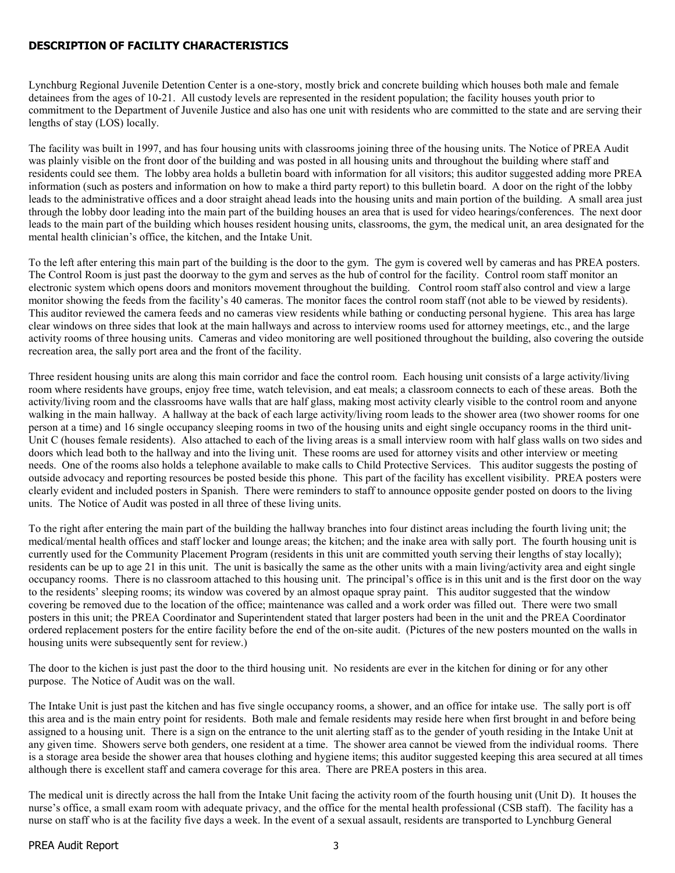### **DESCRIPTION OF FACILITY CHARACTERISTICS**

Lynchburg Regional Juvenile Detention Center is a one-story, mostly brick and concrete building which houses both male and female detainees from the ages of 10-21. All custody levels are represented in the resident population; the facility houses youth prior to commitment to the Department of Juvenile Justice and also has one unit with residents who are committed to the state and are serving their lengths of stay (LOS) locally.

The facility was built in 1997, and has four housing units with classrooms joining three of the housing units. The Notice of PREA Audit was plainly visible on the front door of the building and was posted in all housing units and throughout the building where staff and residents could see them. The lobby area holds a bulletin board with information for all visitors; this auditor suggested adding more PREA information (such as posters and information on how to make a third party report) to this bulletin board. A door on the right of the lobby leads to the administrative offices and a door straight ahead leads into the housing units and main portion of the building. A small area just through the lobby door leading into the main part of the building houses an area that is used for video hearings/conferences. The next door leads to the main part of the building which houses resident housing units, classrooms, the gym, the medical unit, an area designated for the mental health clinician's office, the kitchen, and the Intake Unit.

To the left after entering this main part of the building is the door to the gym. The gym is covered well by cameras and has PREA posters. The Control Room is just past the doorway to the gym and serves as the hub of control for the facility. Control room staff monitor an electronic system which opens doors and monitors movement throughout the building. Control room staff also control and view a large monitor showing the feeds from the facility's 40 cameras. The monitor faces the control room staff (not able to be viewed by residents). This auditor reviewed the camera feeds and no cameras view residents while bathing or conducting personal hygiene. This area has large clear windows on three sides that look at the main hallways and across to interview rooms used for attorney meetings, etc., and the large activity rooms of three housing units. Cameras and video monitoring are well positioned throughout the building, also covering the outside recreation area, the sally port area and the front of the facility.

Three resident housing units are along this main corridor and face the control room. Each housing unit consists of a large activity/living room where residents have groups, enjoy free time, watch television, and eat meals; a classroom connects to each of these areas. Both the activity/living room and the classrooms have walls that are half glass, making most activity clearly visible to the control room and anyone walking in the main hallway. A hallway at the back of each large activity/living room leads to the shower area (two shower rooms for one person at a time) and 16 single occupancy sleeping rooms in two of the housing units and eight single occupancy rooms in the third unit-Unit C (houses female residents). Also attached to each of the living areas is a small interview room with half glass walls on two sides and doors which lead both to the hallway and into the living unit. These rooms are used for attorney visits and other interview or meeting needs. One of the rooms also holds a telephone available to make calls to Child Protective Services. This auditor suggests the posting of outside advocacy and reporting resources be posted beside this phone. This part of the facility has excellent visibility. PREA posters were clearly evident and included posters in Spanish. There were reminders to staff to announce opposite gender posted on doors to the living units. The Notice of Audit was posted in all three of these living units.

To the right after entering the main part of the building the hallway branches into four distinct areas including the fourth living unit; the medical/mental health offices and staff locker and lounge areas; the kitchen; and the inake area with sally port. The fourth housing unit is currently used for the Community Placement Program (residents in this unit are committed youth serving their lengths of stay locally); residents can be up to age 21 in this unit. The unit is basically the same as the other units with a main living/activity area and eight single occupancy rooms. There is no classroom attached to this housing unit. The principal's office is in this unit and is the first door on the way to the residents' sleeping rooms; its window was covered by an almost opaque spray paint. This auditor suggested that the window covering be removed due to the location of the office; maintenance was called and a work order was filled out. There were two small posters in this unit; the PREA Coordinator and Superintendent stated that larger posters had been in the unit and the PREA Coordinator ordered replacement posters for the entire facility before the end of the on-site audit. (Pictures of the new posters mounted on the walls in housing units were subsequently sent for review.)

The door to the kichen is just past the door to the third housing unit. No residents are ever in the kitchen for dining or for any other purpose. The Notice of Audit was on the wall.

The Intake Unit is just past the kitchen and has five single occupancy rooms, a shower, and an office for intake use. The sally port is off this area and is the main entry point for residents. Both male and female residents may reside here when first brought in and before being assigned to a housing unit. There is a sign on the entrance to the unit alerting staff as to the gender of youth residing in the Intake Unit at any given time. Showers serve both genders, one resident at a time. The shower area cannot be viewed from the individual rooms. There is a storage area beside the shower area that houses clothing and hygiene items; this auditor suggested keeping this area secured at all times although there is excellent staff and camera coverage for this area. There are PREA posters in this area.

The medical unit is directly across the hall from the Intake Unit facing the activity room of the fourth housing unit (Unit D). It houses the nurse's office, a small exam room with adequate privacy, and the office for the mental health professional (CSB staff). The facility has a nurse on staff who is at the facility five days a week. In the event of a sexual assault, residents are transported to Lynchburg General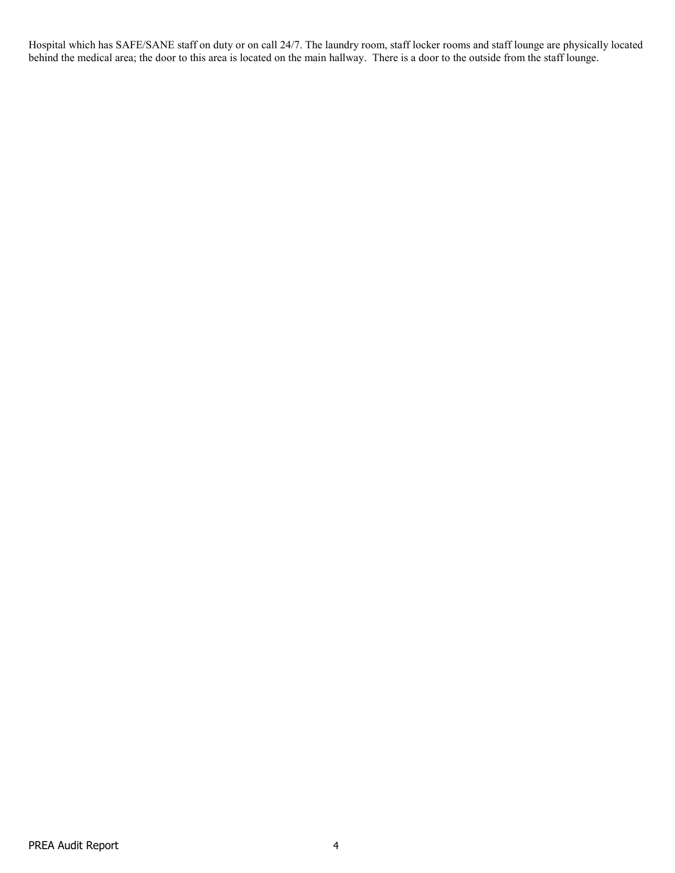Hospital which has SAFE/SANE staff on duty or on call 24/7. The laundry room, staff locker rooms and staff lounge are physically located behind the medical area; the door to this area is located on the main hallway. There is a door to the outside from the staff lounge.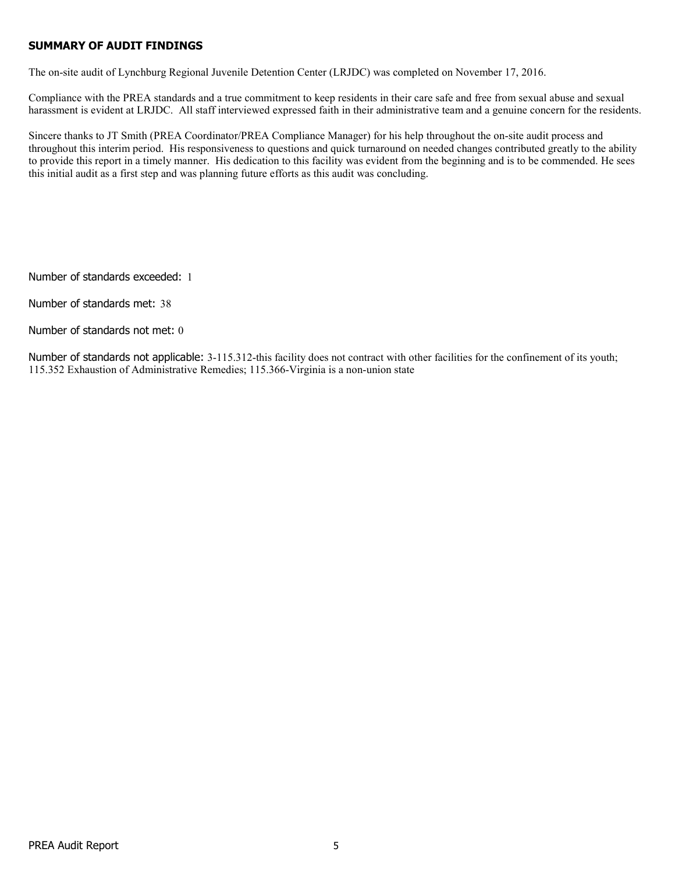### **SUMMARY OF AUDIT FINDINGS**

The on-site audit of Lynchburg Regional Juvenile Detention Center (LRJDC) was completed on November 17, 2016.

Compliance with the PREA standards and a true commitment to keep residents in their care safe and free from sexual abuse and sexual harassment is evident at LRJDC. All staff interviewed expressed faith in their administrative team and a genuine concern for the residents.

Sincere thanks to JT Smith (PREA Coordinator/PREA Compliance Manager) for his help throughout the on-site audit process and throughout this interim period. His responsiveness to questions and quick turnaround on needed changes contributed greatly to the ability to provide this report in a timely manner. His dedication to this facility was evident from the beginning and is to be commended. He sees this initial audit as a first step and was planning future efforts as this audit was concluding.

Number of standards exceeded: 1

Number of standards met: 38

Number of standards not met: 0

Number of standards not applicable: 3-115.312-this facility does not contract with other facilities for the confinement of its youth; 115.352 Exhaustion of Administrative Remedies; 115.366-Virginia is a non-union state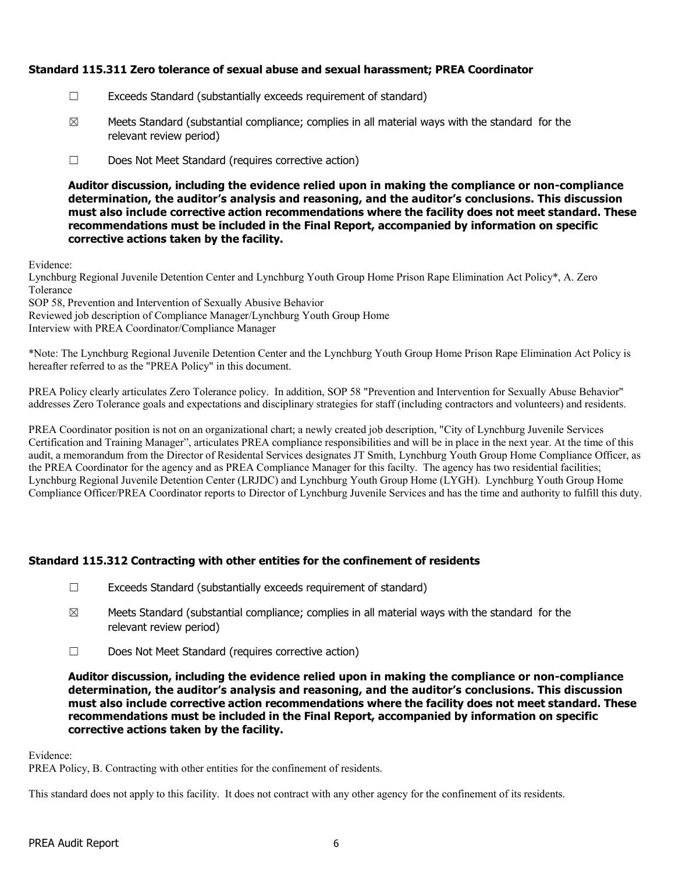### **Standard 115.311 Zero tolerance of sexual abuse and sexual harassment; PREA Coordinator**

- ☐ Exceeds Standard (substantially exceeds requirement of standard)
- $\boxtimes$  Meets Standard (substantial compliance; complies in all material ways with the standard for the relevant review period)
- ☐ Does Not Meet Standard (requires corrective action)

**Auditor discussion, including the evidence relied upon in making the compliance or non-compliance determination, the auditor's analysis and reasoning, and the auditor's conclusions. This discussion must also include corrective action recommendations where the facility does not meet standard. These recommendations must be included in the Final Report, accompanied by information on specific corrective actions taken by the facility.**

Evidence:

Lynchburg Regional Juvenile Detention Center and Lynchburg Youth Group Home Prison Rape Elimination Act Policy\*, A. Zero Tolerance

SOP 58, Prevention and Intervention of Sexually Abusive Behavior

Reviewed job description of Compliance Manager/Lynchburg Youth Group Home

Interview with PREA Coordinator/Compliance Manager

\*Note: The Lynchburg Regional Juvenile Detention Center and the Lynchburg Youth Group Home Prison Rape Elimination Act Policy is hereafter referred to as the "PREA Policy" in this document.

PREA Policy clearly articulates Zero Tolerance policy. In addition, SOP 58 "Prevention and Intervention for Sexually Abuse Behavior" addresses Zero Tolerance goals and expectations and disciplinary strategies for staff (including contractors and volunteers) and residents.

PREA Coordinator position is not on an organizational chart; a newly created job description, "City of Lynchburg Juvenile Services Certification and Training Manager", articulates PREA compliance responsibilities and will be in place in the next year. At the time of this audit, a memorandum from the Director of Residental Services designates JT Smith, Lynchburg Youth Group Home Compliance Officer, as the PREA Coordinator for the agency and as PREA Compliance Manager for this facilty. The agency has two residential facilities; Lynchburg Regional Juvenile Detention Center (LRJDC) and Lynchburg Youth Group Home (LYGH). Lynchburg Youth Group Home Compliance Officer/PREA Coordinator reports to Director of Lynchburg Juvenile Services and has the time and authority to fulfill this duty.

# **Standard 115.312 Contracting with other entities for the confinement of residents**

- ☐ Exceeds Standard (substantially exceeds requirement of standard)
- $\boxtimes$  Meets Standard (substantial compliance; complies in all material ways with the standard for the relevant review period)
- ☐ Does Not Meet Standard (requires corrective action)

**Auditor discussion, including the evidence relied upon in making the compliance or non-compliance determination, the auditor's analysis and reasoning, and the auditor's conclusions. This discussion must also include corrective action recommendations where the facility does not meet standard. These recommendations must be included in the Final Report, accompanied by information on specific corrective actions taken by the facility.**

Evidence:

PREA Policy, B. Contracting with other entities for the confinement of residents.

This standard does not apply to this facility. It does not contract with any other agency for the confinement of its residents.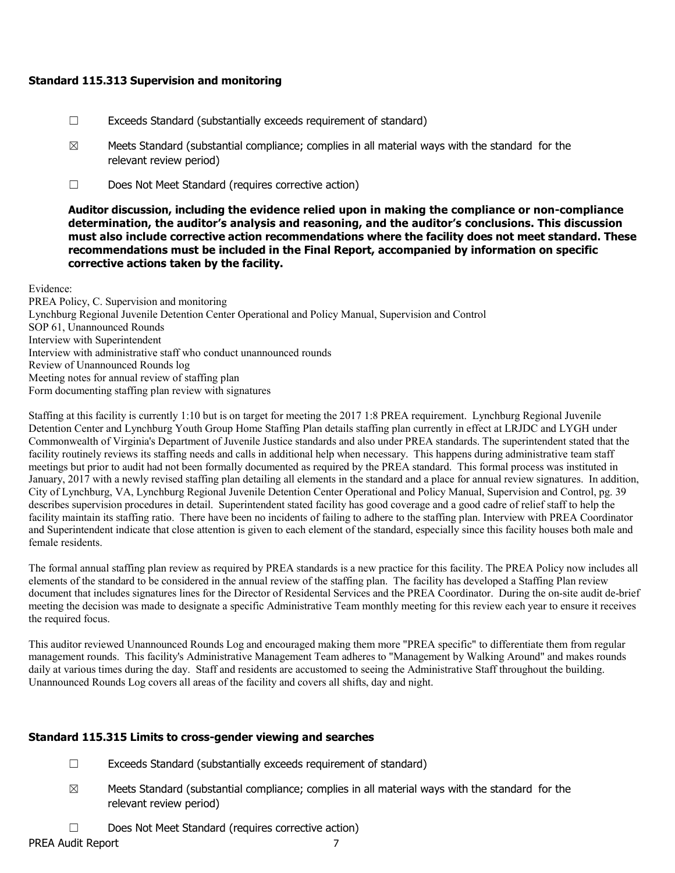### **Standard 115.313 Supervision and monitoring**

- ☐ Exceeds Standard (substantially exceeds requirement of standard)
- $\boxtimes$  Meets Standard (substantial compliance; complies in all material ways with the standard for the relevant review period)
- ☐ Does Not Meet Standard (requires corrective action)

**Auditor discussion, including the evidence relied upon in making the compliance or non-compliance determination, the auditor's analysis and reasoning, and the auditor's conclusions. This discussion must also include corrective action recommendations where the facility does not meet standard. These recommendations must be included in the Final Report, accompanied by information on specific corrective actions taken by the facility.**

Evidence:

PREA Policy, C. Supervision and monitoring Lynchburg Regional Juvenile Detention Center Operational and Policy Manual, Supervision and Control SOP 61, Unannounced Rounds Interview with Superintendent Interview with administrative staff who conduct unannounced rounds Review of Unannounced Rounds log Meeting notes for annual review of staffing plan Form documenting staffing plan review with signatures

Staffing at this facility is currently 1:10 but is on target for meeting the 2017 1:8 PREA requirement. Lynchburg Regional Juvenile Detention Center and Lynchburg Youth Group Home Staffing Plan details staffing plan currently in effect at LRJDC and LYGH under Commonwealth of Virginia's Department of Juvenile Justice standards and also under PREA standards. The superintendent stated that the facility routinely reviews its staffing needs and calls in additional help when necessary. This happens during administrative team staff meetings but prior to audit had not been formally documented as required by the PREA standard. This formal process was instituted in January, 2017 with a newly revised staffing plan detailing all elements in the standard and a place for annual review signatures. In addition, City of Lynchburg, VA, Lynchburg Regional Juvenile Detention Center Operational and Policy Manual, Supervision and Control, pg. 39 describes supervision procedures in detail. Superintendent stated facility has good coverage and a good cadre of relief staff to help the facility maintain its staffing ratio. There have been no incidents of failing to adhere to the staffing plan. Interview with PREA Coordinator and Superintendent indicate that close attention is given to each element of the standard, especially since this facility houses both male and female residents.

The formal annual staffing plan review as required by PREA standards is a new practice for this facility. The PREA Policy now includes all elements of the standard to be considered in the annual review of the staffing plan. The facility has developed a Staffing Plan review document that includes signatures lines for the Director of Residental Services and the PREA Coordinator. During the on-site audit de-brief meeting the decision was made to designate a specific Administrative Team monthly meeting for this review each year to ensure it receives the required focus.

This auditor reviewed Unannounced Rounds Log and encouraged making them more "PREA specific" to differentiate them from regular management rounds. This facility's Administrative Management Team adheres to "Management by Walking Around" and makes rounds daily at various times during the day. Staff and residents are accustomed to seeing the Administrative Staff throughout the building. Unannounced Rounds Log covers all areas of the facility and covers all shifts, day and night.

# **Standard 115.315 Limits to cross-gender viewing and searches**

- ☐ Exceeds Standard (substantially exceeds requirement of standard)
- $\boxtimes$  Meets Standard (substantial compliance; complies in all material ways with the standard for the relevant review period)
- ☐ Does Not Meet Standard (requires corrective action)

PREA Audit Report 7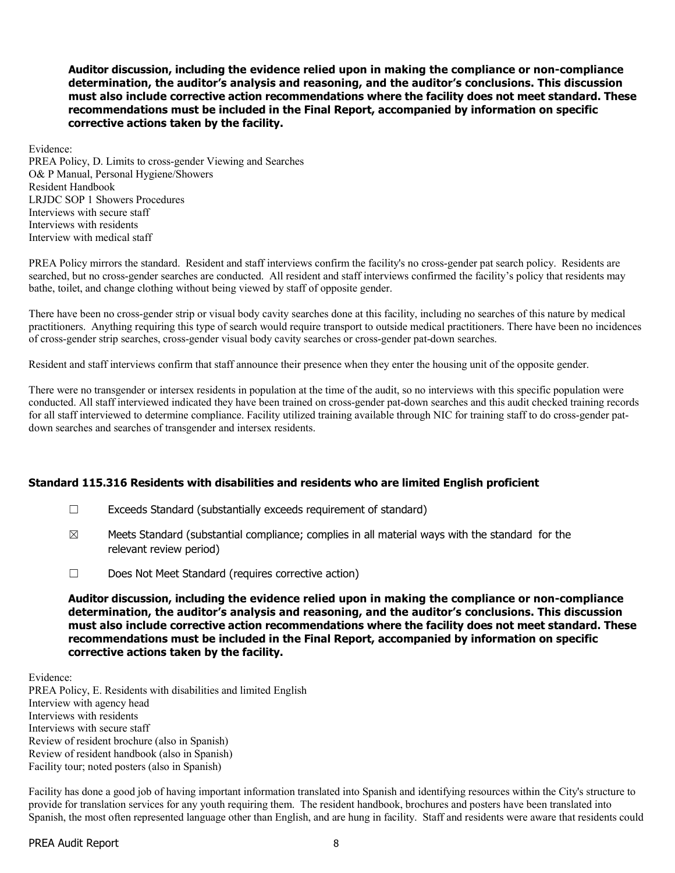**Auditor discussion, including the evidence relied upon in making the compliance or non-compliance determination, the auditor's analysis and reasoning, and the auditor's conclusions. This discussion must also include corrective action recommendations where the facility does not meet standard. These recommendations must be included in the Final Report, accompanied by information on specific corrective actions taken by the facility.**

Evidence: PREA Policy, D. Limits to cross-gender Viewing and Searches O& P Manual, Personal Hygiene/Showers Resident Handbook LRJDC SOP 1 Showers Procedures Interviews with secure staff Interviews with residents Interview with medical staff

PREA Policy mirrors the standard. Resident and staff interviews confirm the facility's no cross-gender pat search policy. Residents are searched, but no cross-gender searches are conducted. All resident and staff interviews confirmed the facility's policy that residents may bathe, toilet, and change clothing without being viewed by staff of opposite gender.

There have been no cross-gender strip or visual body cavity searches done at this facility, including no searches of this nature by medical practitioners. Anything requiring this type of search would require transport to outside medical practitioners. There have been no incidences of cross-gender strip searches, cross-gender visual body cavity searches or cross-gender pat-down searches.

Resident and staff interviews confirm that staff announce their presence when they enter the housing unit of the opposite gender.

There were no transgender or intersex residents in population at the time of the audit, so no interviews with this specific population were conducted. All staff interviewed indicated they have been trained on cross-gender pat-down searches and this audit checked training records for all staff interviewed to determine compliance. Facility utilized training available through NIC for training staff to do cross-gender patdown searches and searches of transgender and intersex residents.

### **Standard 115.316 Residents with disabilities and residents who are limited English proficient**

- ☐ Exceeds Standard (substantially exceeds requirement of standard)
- $\boxtimes$  Meets Standard (substantial compliance; complies in all material ways with the standard for the relevant review period)
- ☐ Does Not Meet Standard (requires corrective action)

**Auditor discussion, including the evidence relied upon in making the compliance or non-compliance determination, the auditor's analysis and reasoning, and the auditor's conclusions. This discussion must also include corrective action recommendations where the facility does not meet standard. These recommendations must be included in the Final Report, accompanied by information on specific corrective actions taken by the facility.**

Evidence: PREA Policy, E. Residents with disabilities and limited English Interview with agency head Interviews with residents Interviews with secure staff Review of resident brochure (also in Spanish) Review of resident handbook (also in Spanish) Facility tour; noted posters (also in Spanish)

Facility has done a good job of having important information translated into Spanish and identifying resources within the City's structure to provide for translation services for any youth requiring them. The resident handbook, brochures and posters have been translated into Spanish, the most often represented language other than English, and are hung in facility. Staff and residents were aware that residents could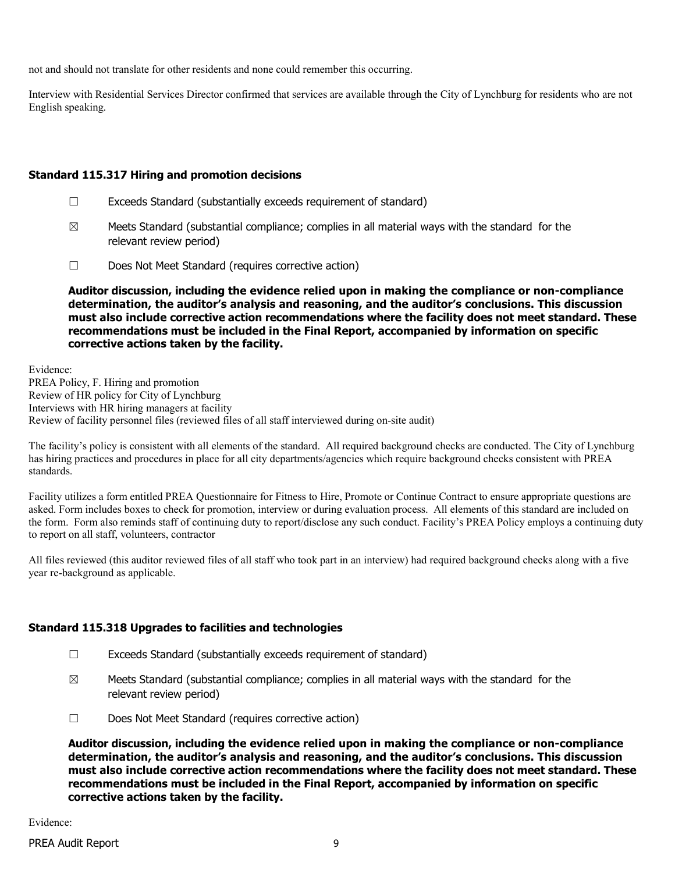not and should not translate for other residents and none could remember this occurring.

Interview with Residential Services Director confirmed that services are available through the City of Lynchburg for residents who are not English speaking.

## **Standard 115.317 Hiring and promotion decisions**

- $\Box$  Exceeds Standard (substantially exceeds requirement of standard)
- $\boxtimes$  Meets Standard (substantial compliance; complies in all material ways with the standard for the relevant review period)
- ☐ Does Not Meet Standard (requires corrective action)

**Auditor discussion, including the evidence relied upon in making the compliance or non-compliance determination, the auditor's analysis and reasoning, and the auditor's conclusions. This discussion must also include corrective action recommendations where the facility does not meet standard. These recommendations must be included in the Final Report, accompanied by information on specific corrective actions taken by the facility.**

Evidence: PREA Policy, F. Hiring and promotion Review of HR policy for City of Lynchburg Interviews with HR hiring managers at facility Review of facility personnel files (reviewed files of all staff interviewed during on-site audit)

The facility's policy is consistent with all elements of the standard. All required background checks are conducted. The City of Lynchburg has hiring practices and procedures in place for all city departments/agencies which require background checks consistent with PREA standards.

Facility utilizes a form entitled PREA Questionnaire for Fitness to Hire, Promote or Continue Contract to ensure appropriate questions are asked. Form includes boxes to check for promotion, interview or during evaluation process. All elements of this standard are included on the form. Form also reminds staff of continuing duty to report/disclose any such conduct. Facility's PREA Policy employs a continuing duty to report on all staff, volunteers, contractor

All files reviewed (this auditor reviewed files of all staff who took part in an interview) had required background checks along with a five year re-background as applicable.

# **Standard 115.318 Upgrades to facilities and technologies**

- ☐ Exceeds Standard (substantially exceeds requirement of standard)
- $\boxtimes$  Meets Standard (substantial compliance; complies in all material ways with the standard for the relevant review period)
- ☐ Does Not Meet Standard (requires corrective action)

**Auditor discussion, including the evidence relied upon in making the compliance or non-compliance determination, the auditor's analysis and reasoning, and the auditor's conclusions. This discussion must also include corrective action recommendations where the facility does not meet standard. These recommendations must be included in the Final Report, accompanied by information on specific corrective actions taken by the facility.**

Evidence: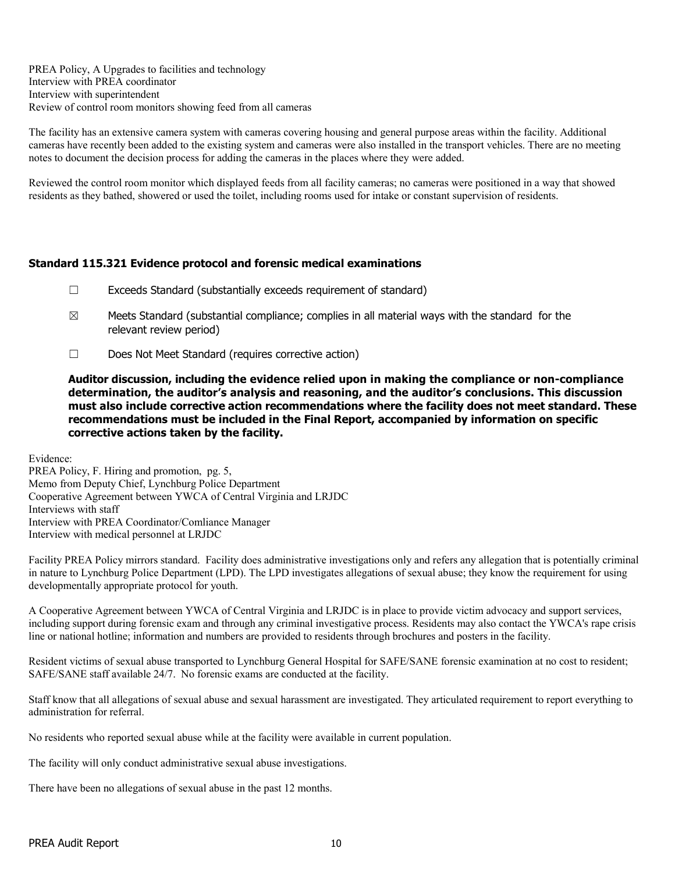PREA Policy, A Upgrades to facilities and technology Interview with PREA coordinator Interview with superintendent Review of control room monitors showing feed from all cameras

The facility has an extensive camera system with cameras covering housing and general purpose areas within the facility. Additional cameras have recently been added to the existing system and cameras were also installed in the transport vehicles. There are no meeting notes to document the decision process for adding the cameras in the places where they were added.

Reviewed the control room monitor which displayed feeds from all facility cameras; no cameras were positioned in a way that showed residents as they bathed, showered or used the toilet, including rooms used for intake or constant supervision of residents.

### **Standard 115.321 Evidence protocol and forensic medical examinations**

- ☐ Exceeds Standard (substantially exceeds requirement of standard)
- $\boxtimes$  Meets Standard (substantial compliance; complies in all material ways with the standard for the relevant review period)
- ☐ Does Not Meet Standard (requires corrective action)

**Auditor discussion, including the evidence relied upon in making the compliance or non-compliance determination, the auditor's analysis and reasoning, and the auditor's conclusions. This discussion must also include corrective action recommendations where the facility does not meet standard. These recommendations must be included in the Final Report, accompanied by information on specific corrective actions taken by the facility.**

Evidence:

PREA Policy, F. Hiring and promotion, pg. 5, Memo from Deputy Chief, Lynchburg Police Department Cooperative Agreement between YWCA of Central Virginia and LRJDC Interviews with staff Interview with PREA Coordinator/Comliance Manager Interview with medical personnel at LRJDC

Facility PREA Policy mirrors standard. Facility does administrative investigations only and refers any allegation that is potentially criminal in nature to Lynchburg Police Department (LPD). The LPD investigates allegations of sexual abuse; they know the requirement for using developmentally appropriate protocol for youth.

A Cooperative Agreement between YWCA of Central Virginia and LRJDC is in place to provide victim advocacy and support services, including support during forensic exam and through any criminal investigative process. Residents may also contact the YWCA's rape crisis line or national hotline; information and numbers are provided to residents through brochures and posters in the facility.

Resident victims of sexual abuse transported to Lynchburg General Hospital for SAFE/SANE forensic examination at no cost to resident; SAFE/SANE staff available 24/7. No forensic exams are conducted at the facility.

Staff know that all allegations of sexual abuse and sexual harassment are investigated. They articulated requirement to report everything to administration for referral.

No residents who reported sexual abuse while at the facility were available in current population.

The facility will only conduct administrative sexual abuse investigations.

There have been no allegations of sexual abuse in the past 12 months.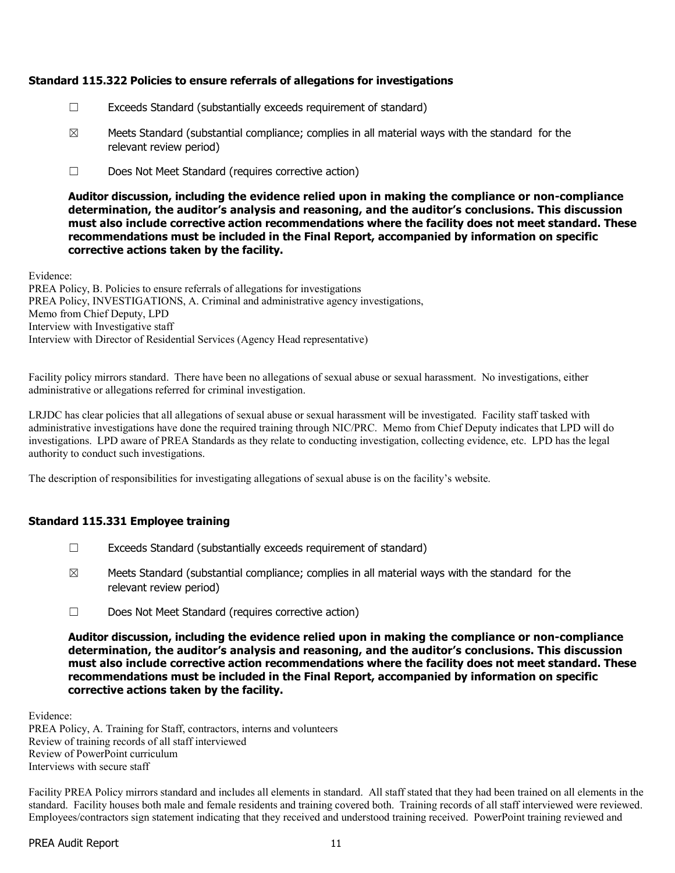### **Standard 115.322 Policies to ensure referrals of allegations for investigations**

- ☐ Exceeds Standard (substantially exceeds requirement of standard)
- $\boxtimes$  Meets Standard (substantial compliance; complies in all material ways with the standard for the relevant review period)
- ☐ Does Not Meet Standard (requires corrective action)

**Auditor discussion, including the evidence relied upon in making the compliance or non-compliance determination, the auditor's analysis and reasoning, and the auditor's conclusions. This discussion must also include corrective action recommendations where the facility does not meet standard. These recommendations must be included in the Final Report, accompanied by information on specific corrective actions taken by the facility.**

Evidence:

PREA Policy, B. Policies to ensure referrals of allegations for investigations PREA Policy, INVESTIGATIONS, A. Criminal and administrative agency investigations, Memo from Chief Deputy, LPD Interview with Investigative staff Interview with Director of Residential Services (Agency Head representative)

Facility policy mirrors standard. There have been no allegations of sexual abuse or sexual harassment. No investigations, either administrative or allegations referred for criminal investigation.

LRJDC has clear policies that all allegations of sexual abuse or sexual harassment will be investigated. Facility staff tasked with administrative investigations have done the required training through NIC/PRC. Memo from Chief Deputy indicates that LPD will do investigations. LPD aware of PREA Standards as they relate to conducting investigation, collecting evidence, etc. LPD has the legal authority to conduct such investigations.

The description of responsibilities for investigating allegations of sexual abuse is on the facility's website.

### **Standard 115.331 Employee training**

- ☐ Exceeds Standard (substantially exceeds requirement of standard)
- $\boxtimes$  Meets Standard (substantial compliance; complies in all material ways with the standard for the relevant review period)
- ☐ Does Not Meet Standard (requires corrective action)

**Auditor discussion, including the evidence relied upon in making the compliance or non-compliance determination, the auditor's analysis and reasoning, and the auditor's conclusions. This discussion must also include corrective action recommendations where the facility does not meet standard. These recommendations must be included in the Final Report, accompanied by information on specific corrective actions taken by the facility.**

Evidence:

PREA Policy, A. Training for Staff, contractors, interns and volunteers Review of training records of all staff interviewed Review of PowerPoint curriculum Interviews with secure staff

Facility PREA Policy mirrors standard and includes all elements in standard. All staff stated that they had been trained on all elements in the standard. Facility houses both male and female residents and training covered both. Training records of all staff interviewed were reviewed. Employees/contractors sign statement indicating that they received and understood training received. PowerPoint training reviewed and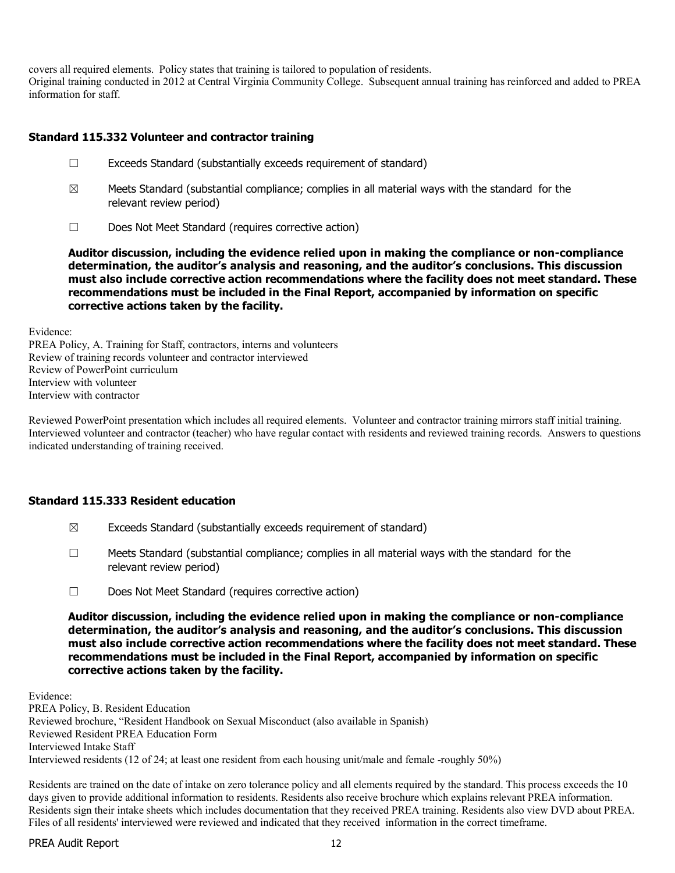covers all required elements. Policy states that training is tailored to population of residents.

Original training conducted in 2012 at Central Virginia Community College. Subsequent annual training has reinforced and added to PREA information for staff.

## **Standard 115.332 Volunteer and contractor training**

- ☐ Exceeds Standard (substantially exceeds requirement of standard)
- $\boxtimes$  Meets Standard (substantial compliance; complies in all material ways with the standard for the relevant review period)
- ☐ Does Not Meet Standard (requires corrective action)

**Auditor discussion, including the evidence relied upon in making the compliance or non-compliance determination, the auditor's analysis and reasoning, and the auditor's conclusions. This discussion must also include corrective action recommendations where the facility does not meet standard. These recommendations must be included in the Final Report, accompanied by information on specific corrective actions taken by the facility.**

Evidence:

PREA Policy, A. Training for Staff, contractors, interns and volunteers Review of training records volunteer and contractor interviewed Review of PowerPoint curriculum Interview with volunteer Interview with contractor

Reviewed PowerPoint presentation which includes all required elements. Volunteer and contractor training mirrors staff initial training. Interviewed volunteer and contractor (teacher) who have regular contact with residents and reviewed training records. Answers to questions indicated understanding of training received.

### **Standard 115.333 Resident education**

- $\boxtimes$  Exceeds Standard (substantially exceeds requirement of standard)
- $\Box$  Meets Standard (substantial compliance; complies in all material ways with the standard for the relevant review period)
- ☐ Does Not Meet Standard (requires corrective action)

**Auditor discussion, including the evidence relied upon in making the compliance or non-compliance determination, the auditor's analysis and reasoning, and the auditor's conclusions. This discussion must also include corrective action recommendations where the facility does not meet standard. These recommendations must be included in the Final Report, accompanied by information on specific corrective actions taken by the facility.**

Evidence: PREA Policy, B. Resident Education Reviewed brochure, "Resident Handbook on Sexual Misconduct (also available in Spanish) Reviewed Resident PREA Education Form Interviewed Intake Staff Interviewed residents (12 of 24; at least one resident from each housing unit/male and female -roughly 50%)

Residents are trained on the date of intake on zero tolerance policy and all elements required by the standard. This process exceeds the 10 days given to provide additional information to residents. Residents also receive brochure which explains relevant PREA information. Residents sign their intake sheets which includes documentation that they received PREA training. Residents also view DVD about PREA. Files of all residents' interviewed were reviewed and indicated that they received information in the correct timeframe.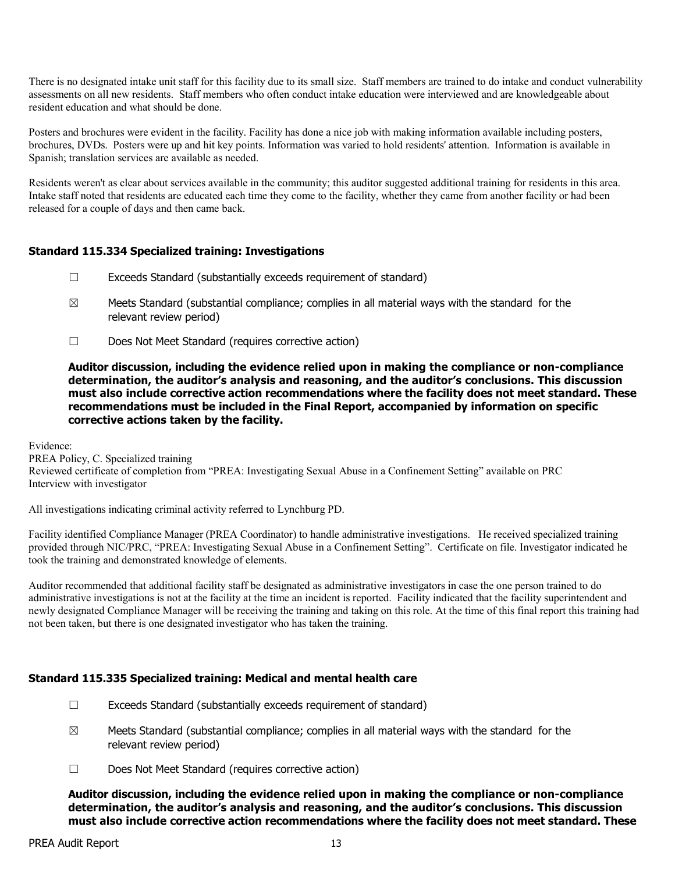There is no designated intake unit staff for this facility due to its small size. Staff members are trained to do intake and conduct vulnerability assessments on all new residents. Staff members who often conduct intake education were interviewed and are knowledgeable about resident education and what should be done.

Posters and brochures were evident in the facility. Facility has done a nice job with making information available including posters, brochures, DVDs. Posters were up and hit key points. Information was varied to hold residents' attention. Information is available in Spanish; translation services are available as needed.

Residents weren't as clear about services available in the community; this auditor suggested additional training for residents in this area. Intake staff noted that residents are educated each time they come to the facility, whether they came from another facility or had been released for a couple of days and then came back.

### **Standard 115.334 Specialized training: Investigations**

- ☐ Exceeds Standard (substantially exceeds requirement of standard)
- $\boxtimes$  Meets Standard (substantial compliance; complies in all material ways with the standard for the relevant review period)
- ☐ Does Not Meet Standard (requires corrective action)

#### **Auditor discussion, including the evidence relied upon in making the compliance or non-compliance determination, the auditor's analysis and reasoning, and the auditor's conclusions. This discussion must also include corrective action recommendations where the facility does not meet standard. These recommendations must be included in the Final Report, accompanied by information on specific corrective actions taken by the facility.**

Evidence:

PREA Policy, C. Specialized training Reviewed certificate of completion from "PREA: Investigating Sexual Abuse in a Confinement Setting" available on PRC Interview with investigator

All investigations indicating criminal activity referred to Lynchburg PD.

Facility identified Compliance Manager (PREA Coordinator) to handle administrative investigations. He received specialized training provided through NIC/PRC, "PREA: Investigating Sexual Abuse in a Confinement Setting". Certificate on file. Investigator indicated he took the training and demonstrated knowledge of elements.

Auditor recommended that additional facility staff be designated as administrative investigators in case the one person trained to do administrative investigations is not at the facility at the time an incident is reported. Facility indicated that the facility superintendent and newly designated Compliance Manager will be receiving the training and taking on this role. At the time of this final report this training had not been taken, but there is one designated investigator who has taken the training.

### **Standard 115.335 Specialized training: Medical and mental health care**

- $\Box$  Exceeds Standard (substantially exceeds requirement of standard)
- $\boxtimes$  Meets Standard (substantial compliance; complies in all material ways with the standard for the relevant review period)
- ☐ Does Not Meet Standard (requires corrective action)

**Auditor discussion, including the evidence relied upon in making the compliance or non-compliance determination, the auditor's analysis and reasoning, and the auditor's conclusions. This discussion must also include corrective action recommendations where the facility does not meet standard. These**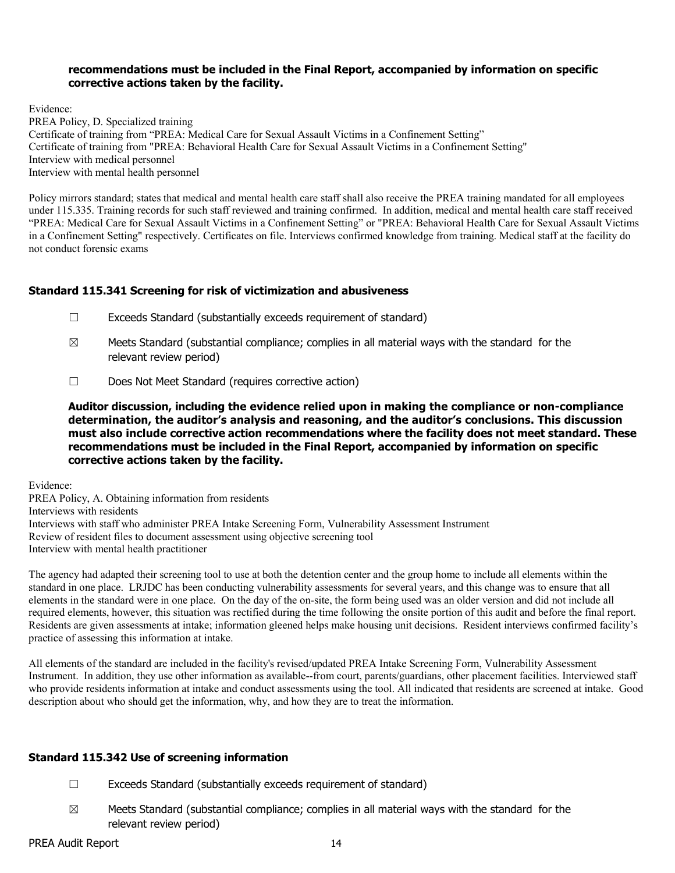#### **recommendations must be included in the Final Report, accompanied by information on specific corrective actions taken by the facility.**

Evidence: PREA Policy, D. Specialized training Certificate of training from "PREA: Medical Care for Sexual Assault Victims in a Confinement Setting" Certificate of training from "PREA: Behavioral Health Care for Sexual Assault Victims in a Confinement Setting" Interview with medical personnel Interview with mental health personnel

Policy mirrors standard; states that medical and mental health care staff shall also receive the PREA training mandated for all employees under 115.335. Training records for such staff reviewed and training confirmed. In addition, medical and mental health care staff received "PREA: Medical Care for Sexual Assault Victims in a Confinement Setting" or "PREA: Behavioral Health Care for Sexual Assault Victims in a Confinement Setting" respectively. Certificates on file. Interviews confirmed knowledge from training. Medical staff at the facility do not conduct forensic exams

# **Standard 115.341 Screening for risk of victimization and abusiveness**

- ☐ Exceeds Standard (substantially exceeds requirement of standard)
- $\boxtimes$  Meets Standard (substantial compliance; complies in all material ways with the standard for the relevant review period)
- ☐ Does Not Meet Standard (requires corrective action)

**Auditor discussion, including the evidence relied upon in making the compliance or non-compliance determination, the auditor's analysis and reasoning, and the auditor's conclusions. This discussion must also include corrective action recommendations where the facility does not meet standard. These recommendations must be included in the Final Report, accompanied by information on specific corrective actions taken by the facility.**

Evidence:

PREA Policy, A. Obtaining information from residents Interviews with residents Interviews with staff who administer PREA Intake Screening Form, Vulnerability Assessment Instrument Review of resident files to document assessment using objective screening tool Interview with mental health practitioner

The agency had adapted their screening tool to use at both the detention center and the group home to include all elements within the standard in one place. LRJDC has been conducting vulnerability assessments for several years, and this change was to ensure that all elements in the standard were in one place. On the day of the on-site, the form being used was an older version and did not include all required elements, however, this situation was rectified during the time following the onsite portion of this audit and before the final report. Residents are given assessments at intake; information gleened helps make housing unit decisions. Resident interviews confirmed facility's practice of assessing this information at intake.

All elements of the standard are included in the facility's revised/updated PREA Intake Screening Form, Vulnerability Assessment Instrument. In addition, they use other information as available--from court, parents/guardians, other placement facilities. Interviewed staff who provide residents information at intake and conduct assessments using the tool. All indicated that residents are screened at intake. Good description about who should get the information, why, and how they are to treat the information.

### **Standard 115.342 Use of screening information**

- ☐ Exceeds Standard (substantially exceeds requirement of standard)
- $\boxtimes$  Meets Standard (substantial compliance; complies in all material ways with the standard for the relevant review period)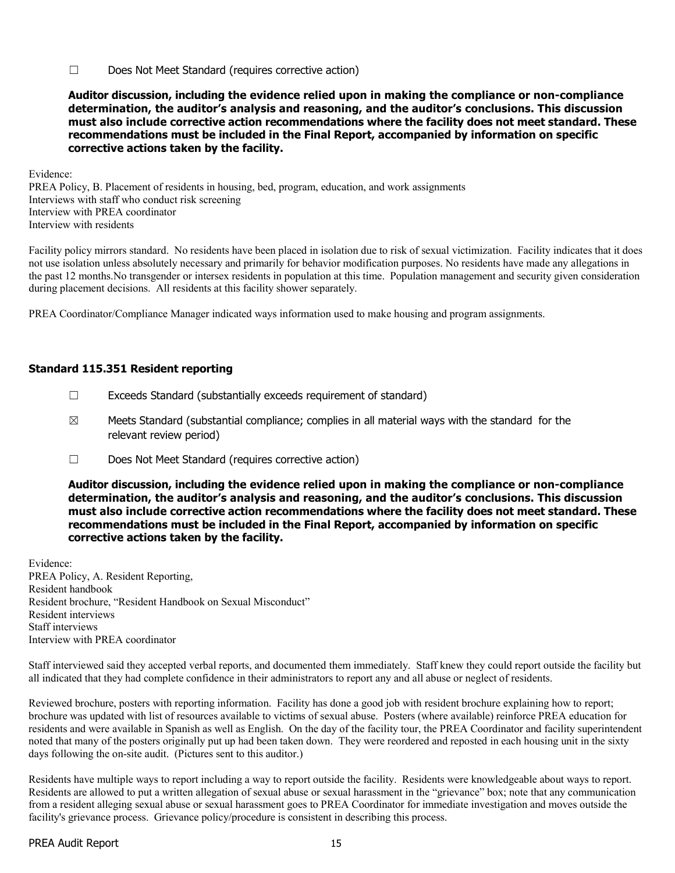☐ Does Not Meet Standard (requires corrective action)

**Auditor discussion, including the evidence relied upon in making the compliance or non-compliance determination, the auditor's analysis and reasoning, and the auditor's conclusions. This discussion must also include corrective action recommendations where the facility does not meet standard. These recommendations must be included in the Final Report, accompanied by information on specific corrective actions taken by the facility.**

Evidence:

PREA Policy, B. Placement of residents in housing, bed, program, education, and work assignments Interviews with staff who conduct risk screening Interview with PREA coordinator Interview with residents

Facility policy mirrors standard. No residents have been placed in isolation due to risk of sexual victimization. Facility indicates that it does not use isolation unless absolutely necessary and primarily for behavior modification purposes. No residents have made any allegations in the past 12 months.No transgender or intersex residents in population at this time. Population management and security given consideration during placement decisions. All residents at this facility shower separately.

PREA Coordinator/Compliance Manager indicated ways information used to make housing and program assignments.

#### **Standard 115.351 Resident reporting**

- ☐ Exceeds Standard (substantially exceeds requirement of standard)
- $\boxtimes$  Meets Standard (substantial compliance; complies in all material ways with the standard for the relevant review period)
- ☐ Does Not Meet Standard (requires corrective action)

**Auditor discussion, including the evidence relied upon in making the compliance or non-compliance determination, the auditor's analysis and reasoning, and the auditor's conclusions. This discussion must also include corrective action recommendations where the facility does not meet standard. These recommendations must be included in the Final Report, accompanied by information on specific corrective actions taken by the facility.**

Evidence: PREA Policy, A. Resident Reporting, Resident handbook Resident brochure, "Resident Handbook on Sexual Misconduct" Resident interviews Staff interviews Interview with PREA coordinator

Staff interviewed said they accepted verbal reports, and documented them immediately. Staff knew they could report outside the facility but all indicated that they had complete confidence in their administrators to report any and all abuse or neglect of residents.

Reviewed brochure, posters with reporting information. Facility has done a good job with resident brochure explaining how to report; brochure was updated with list of resources available to victims of sexual abuse. Posters (where available) reinforce PREA education for residents and were available in Spanish as well as English. On the day of the facility tour, the PREA Coordinator and facility superintendent noted that many of the posters originally put up had been taken down. They were reordered and reposted in each housing unit in the sixty days following the on-site audit. (Pictures sent to this auditor.)

Residents have multiple ways to report including a way to report outside the facility. Residents were knowledgeable about ways to report. Residents are allowed to put a written allegation of sexual abuse or sexual harassment in the "grievance" box; note that any communication from a resident alleging sexual abuse or sexual harassment goes to PREA Coordinator for immediate investigation and moves outside the facility's grievance process. Grievance policy/procedure is consistent in describing this process.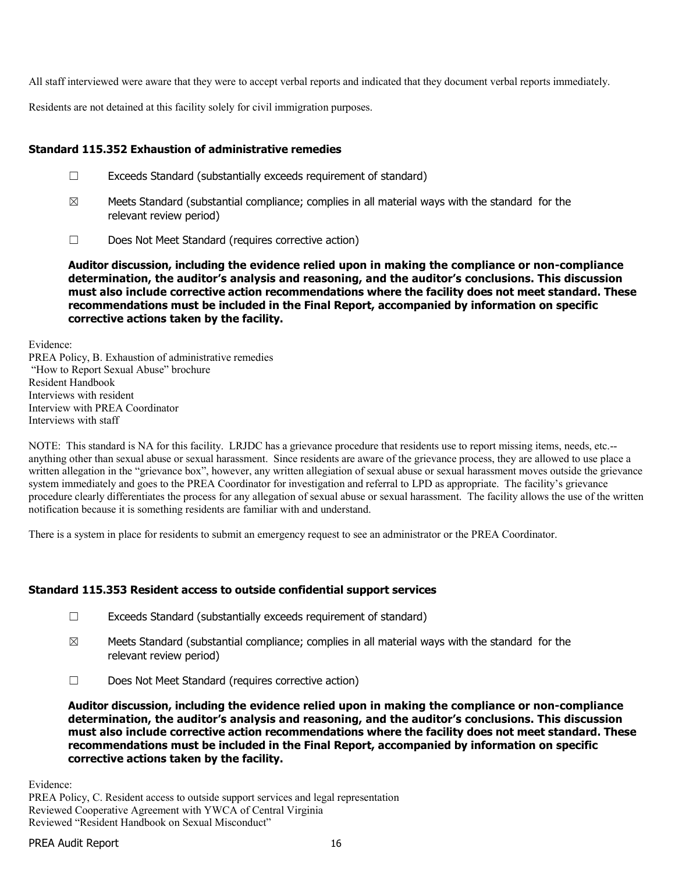All staff interviewed were aware that they were to accept verbal reports and indicated that they document verbal reports immediately.

Residents are not detained at this facility solely for civil immigration purposes.

## **Standard 115.352 Exhaustion of administrative remedies**

- ☐ Exceeds Standard (substantially exceeds requirement of standard)
- $\boxtimes$  Meets Standard (substantial compliance; complies in all material ways with the standard for the relevant review period)
- ☐ Does Not Meet Standard (requires corrective action)

**Auditor discussion, including the evidence relied upon in making the compliance or non-compliance determination, the auditor's analysis and reasoning, and the auditor's conclusions. This discussion must also include corrective action recommendations where the facility does not meet standard. These recommendations must be included in the Final Report, accompanied by information on specific corrective actions taken by the facility.**

Evidence:

PREA Policy, B. Exhaustion of administrative remedies "How to Report Sexual Abuse" brochure Resident Handbook Interviews with resident Interview with PREA Coordinator Interviews with staff

NOTE: This standard is NA for this facility. LRJDC has a grievance procedure that residents use to report missing items, needs, etc.- anything other than sexual abuse or sexual harassment. Since residents are aware of the grievance process, they are allowed to use place a written allegation in the "grievance box", however, any written allegiation of sexual abuse or sexual harassment moves outside the grievance system immediately and goes to the PREA Coordinator for investigation and referral to LPD as appropriate. The facility's grievance procedure clearly differentiates the process for any allegation of sexual abuse or sexual harassment. The facility allows the use of the written notification because it is something residents are familiar with and understand.

There is a system in place for residents to submit an emergency request to see an administrator or the PREA Coordinator.

### **Standard 115.353 Resident access to outside confidential support services**

- ☐ Exceeds Standard (substantially exceeds requirement of standard)
- $\boxtimes$  Meets Standard (substantial compliance; complies in all material ways with the standard for the relevant review period)
- ☐ Does Not Meet Standard (requires corrective action)

**Auditor discussion, including the evidence relied upon in making the compliance or non-compliance determination, the auditor's analysis and reasoning, and the auditor's conclusions. This discussion must also include corrective action recommendations where the facility does not meet standard. These recommendations must be included in the Final Report, accompanied by information on specific corrective actions taken by the facility.**

Evidence:

PREA Policy, C. Resident access to outside support services and legal representation Reviewed Cooperative Agreement with YWCA of Central Virginia Reviewed "Resident Handbook on Sexual Misconduct"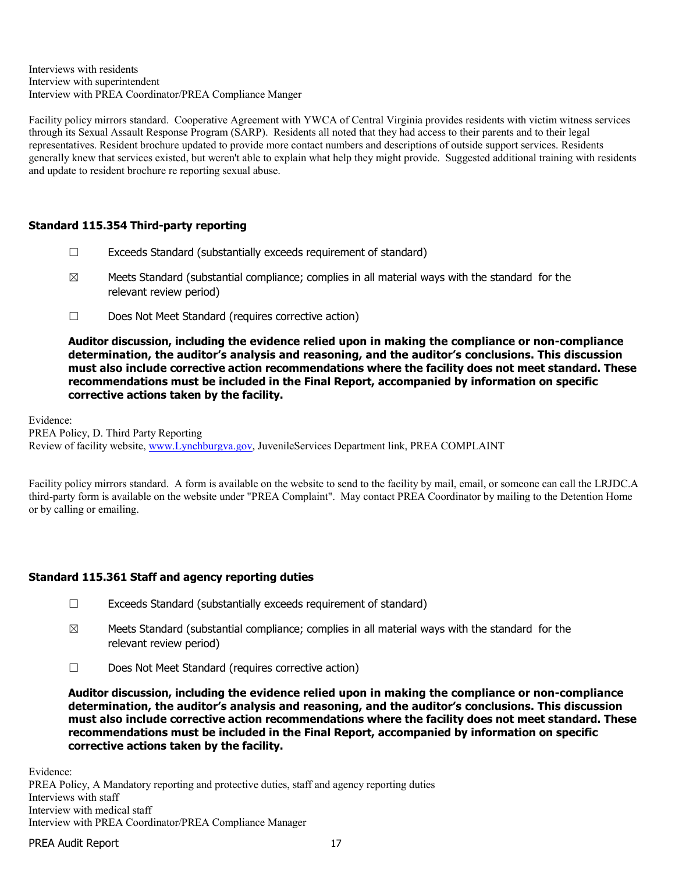Interviews with residents Interview with superintendent Interview with PREA Coordinator/PREA Compliance Manger

Facility policy mirrors standard. Cooperative Agreement with YWCA of Central Virginia provides residents with victim witness services through its Sexual Assault Response Program (SARP). Residents all noted that they had access to their parents and to their legal representatives. Resident brochure updated to provide more contact numbers and descriptions of outside support services. Residents generally knew that services existed, but weren't able to explain what help they might provide. Suggested additional training with residents and update to resident brochure re reporting sexual abuse.

# **Standard 115.354 Third-party reporting**

- ☐ Exceeds Standard (substantially exceeds requirement of standard)
- $\boxtimes$  Meets Standard (substantial compliance; complies in all material ways with the standard for the relevant review period)
- ☐ Does Not Meet Standard (requires corrective action)

**Auditor discussion, including the evidence relied upon in making the compliance or non-compliance determination, the auditor's analysis and reasoning, and the auditor's conclusions. This discussion must also include corrective action recommendations where the facility does not meet standard. These recommendations must be included in the Final Report, accompanied by information on specific corrective actions taken by the facility.**

Evidence: PREA Policy, D. Third Party Reporting Review of facility website, [www.Lynchburgva.gov,](http://www.lynchburgva.gov/) JuvenileServices Department link, PREA COMPLAINT

Facility policy mirrors standard. A form is available on the website to send to the facility by mail, email, or someone can call the LRJDC.A third-party form is available on the website under "PREA Complaint". May contact PREA Coordinator by mailing to the Detention Home or by calling or emailing.

### **Standard 115.361 Staff and agency reporting duties**

- ☐ Exceeds Standard (substantially exceeds requirement of standard)
- $\boxtimes$  Meets Standard (substantial compliance; complies in all material ways with the standard for the relevant review period)
- ☐ Does Not Meet Standard (requires corrective action)

**Auditor discussion, including the evidence relied upon in making the compliance or non-compliance determination, the auditor's analysis and reasoning, and the auditor's conclusions. This discussion must also include corrective action recommendations where the facility does not meet standard. These recommendations must be included in the Final Report, accompanied by information on specific corrective actions taken by the facility.**

Evidence:

PREA Policy, A Mandatory reporting and protective duties, staff and agency reporting duties Interviews with staff Interview with medical staff Interview with PREA Coordinator/PREA Compliance Manager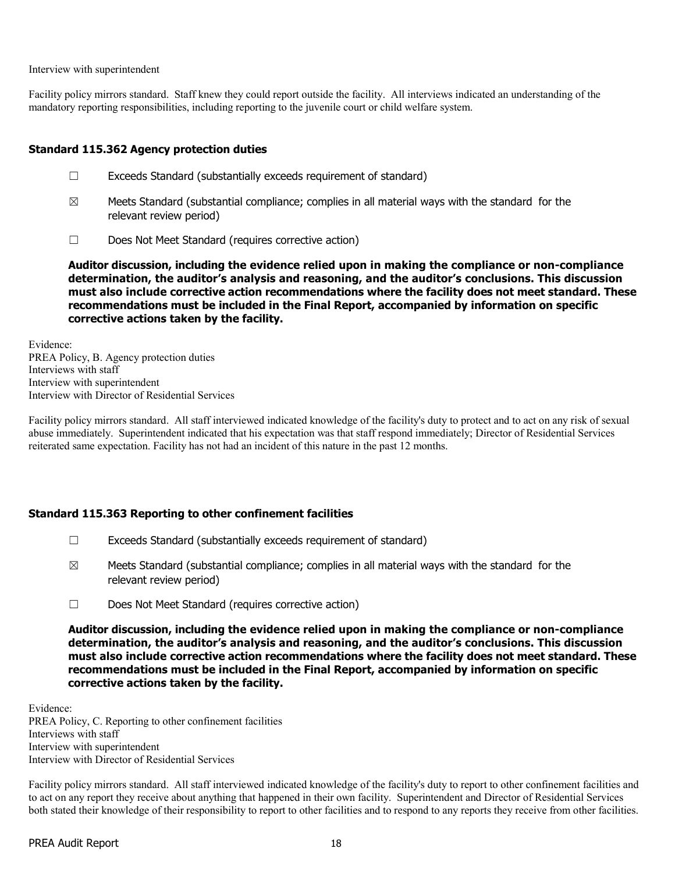Interview with superintendent

Facility policy mirrors standard. Staff knew they could report outside the facility. All interviews indicated an understanding of the mandatory reporting responsibilities, including reporting to the juvenile court or child welfare system.

### **Standard 115.362 Agency protection duties**

- ☐ Exceeds Standard (substantially exceeds requirement of standard)
- $\boxtimes$  Meets Standard (substantial compliance; complies in all material ways with the standard for the relevant review period)
- ☐ Does Not Meet Standard (requires corrective action)

**Auditor discussion, including the evidence relied upon in making the compliance or non-compliance determination, the auditor's analysis and reasoning, and the auditor's conclusions. This discussion must also include corrective action recommendations where the facility does not meet standard. These recommendations must be included in the Final Report, accompanied by information on specific corrective actions taken by the facility.**

Evidence: PREA Policy, B. Agency protection duties Interviews with staff Interview with superintendent Interview with Director of Residential Services

Facility policy mirrors standard. All staff interviewed indicated knowledge of the facility's duty to protect and to act on any risk of sexual abuse immediately. Superintendent indicated that his expectation was that staff respond immediately; Director of Residential Services reiterated same expectation. Facility has not had an incident of this nature in the past 12 months.

#### **Standard 115.363 Reporting to other confinement facilities**

- ☐ Exceeds Standard (substantially exceeds requirement of standard)
- $\boxtimes$  Meets Standard (substantial compliance; complies in all material ways with the standard for the relevant review period)
- ☐ Does Not Meet Standard (requires corrective action)

**Auditor discussion, including the evidence relied upon in making the compliance or non-compliance determination, the auditor's analysis and reasoning, and the auditor's conclusions. This discussion must also include corrective action recommendations where the facility does not meet standard. These recommendations must be included in the Final Report, accompanied by information on specific corrective actions taken by the facility.**

Evidence: PREA Policy, C. Reporting to other confinement facilities Interviews with staff Interview with superintendent Interview with Director of Residential Services

Facility policy mirrors standard. All staff interviewed indicated knowledge of the facility's duty to report to other confinement facilities and to act on any report they receive about anything that happened in their own facility. Superintendent and Director of Residential Services both stated their knowledge of their responsibility to report to other facilities and to respond to any reports they receive from other facilities.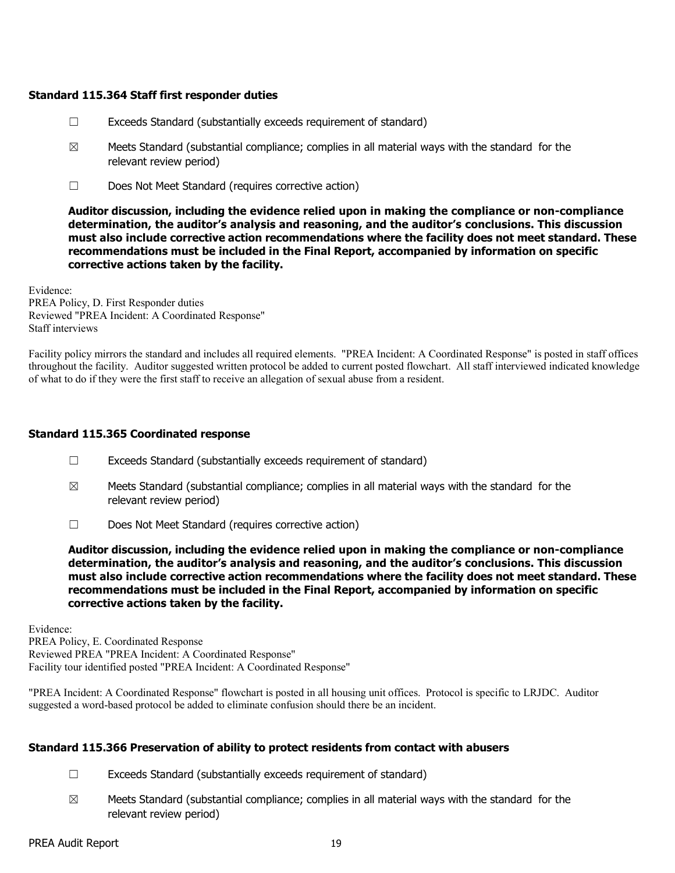#### **Standard 115.364 Staff first responder duties**

- ☐ Exceeds Standard (substantially exceeds requirement of standard)
- $\boxtimes$  Meets Standard (substantial compliance; complies in all material ways with the standard for the relevant review period)
- ☐ Does Not Meet Standard (requires corrective action)

**Auditor discussion, including the evidence relied upon in making the compliance or non-compliance determination, the auditor's analysis and reasoning, and the auditor's conclusions. This discussion must also include corrective action recommendations where the facility does not meet standard. These recommendations must be included in the Final Report, accompanied by information on specific corrective actions taken by the facility.**

Evidence: PREA Policy, D. First Responder duties Reviewed "PREA Incident: A Coordinated Response" Staff interviews

Facility policy mirrors the standard and includes all required elements. "PREA Incident: A Coordinated Response" is posted in staff offices throughout the facility. Auditor suggested written protocol be added to current posted flowchart. All staff interviewed indicated knowledge of what to do if they were the first staff to receive an allegation of sexual abuse from a resident.

### **Standard 115.365 Coordinated response**

- ☐ Exceeds Standard (substantially exceeds requirement of standard)
- $\boxtimes$  Meets Standard (substantial compliance; complies in all material ways with the standard for the relevant review period)
- ☐ Does Not Meet Standard (requires corrective action)

**Auditor discussion, including the evidence relied upon in making the compliance or non-compliance determination, the auditor's analysis and reasoning, and the auditor's conclusions. This discussion must also include corrective action recommendations where the facility does not meet standard. These recommendations must be included in the Final Report, accompanied by information on specific corrective actions taken by the facility.**

Evidence: PREA Policy, E. Coordinated Response Reviewed PREA "PREA Incident: A Coordinated Response" Facility tour identified posted "PREA Incident: A Coordinated Response"

"PREA Incident: A Coordinated Response" flowchart is posted in all housing unit offices. Protocol is specific to LRJDC. Auditor suggested a word-based protocol be added to eliminate confusion should there be an incident.

#### **Standard 115.366 Preservation of ability to protect residents from contact with abusers**

- ☐ Exceeds Standard (substantially exceeds requirement of standard)
- $\boxtimes$  Meets Standard (substantial compliance; complies in all material ways with the standard for the relevant review period)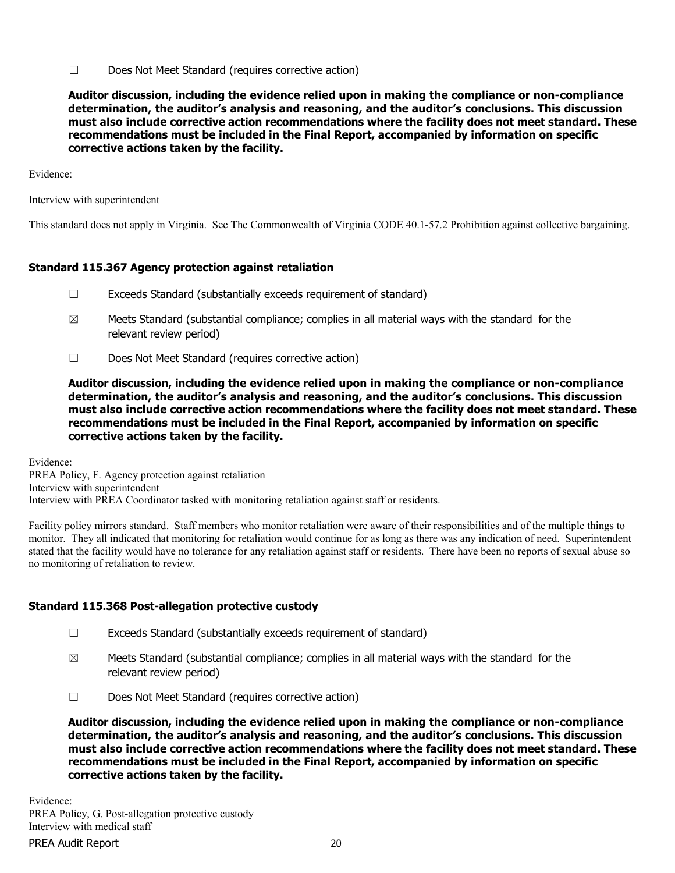☐ Does Not Meet Standard (requires corrective action)

**Auditor discussion, including the evidence relied upon in making the compliance or non-compliance determination, the auditor's analysis and reasoning, and the auditor's conclusions. This discussion must also include corrective action recommendations where the facility does not meet standard. These recommendations must be included in the Final Report, accompanied by information on specific corrective actions taken by the facility.**

Evidence:

Interview with superintendent

This standard does not apply in Virginia. See The Commonwealth of Virginia CODE 40.1-57.2 Prohibition against collective bargaining.

# **Standard 115.367 Agency protection against retaliation**

- ☐ Exceeds Standard (substantially exceeds requirement of standard)
- $\boxtimes$  Meets Standard (substantial compliance; complies in all material ways with the standard for the relevant review period)
- ☐ Does Not Meet Standard (requires corrective action)

**Auditor discussion, including the evidence relied upon in making the compliance or non-compliance determination, the auditor's analysis and reasoning, and the auditor's conclusions. This discussion must also include corrective action recommendations where the facility does not meet standard. These recommendations must be included in the Final Report, accompanied by information on specific corrective actions taken by the facility.**

Evidence:

PREA Policy, F. Agency protection against retaliation Interview with superintendent Interview with PREA Coordinator tasked with monitoring retaliation against staff or residents.

Facility policy mirrors standard. Staff members who monitor retaliation were aware of their responsibilities and of the multiple things to monitor. They all indicated that monitoring for retaliation would continue for as long as there was any indication of need. Superintendent stated that the facility would have no tolerance for any retaliation against staff or residents. There have been no reports of sexual abuse so no monitoring of retaliation to review.

### **Standard 115.368 Post-allegation protective custody**

- ☐ Exceeds Standard (substantially exceeds requirement of standard)
- $\boxtimes$  Meets Standard (substantial compliance; complies in all material ways with the standard for the relevant review period)
- ☐ Does Not Meet Standard (requires corrective action)

**Auditor discussion, including the evidence relied upon in making the compliance or non-compliance determination, the auditor's analysis and reasoning, and the auditor's conclusions. This discussion must also include corrective action recommendations where the facility does not meet standard. These recommendations must be included in the Final Report, accompanied by information on specific corrective actions taken by the facility.**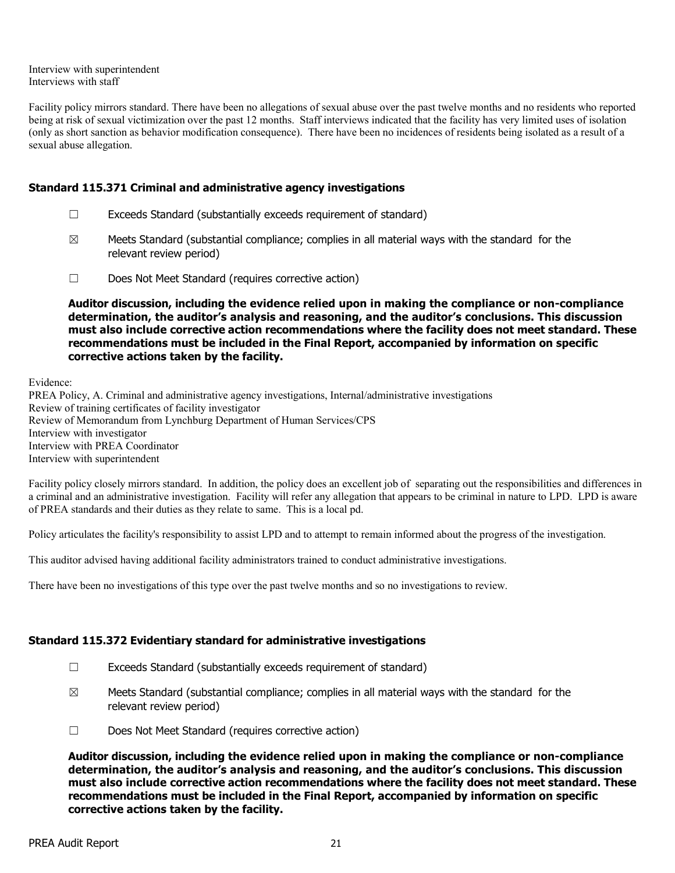Interview with superintendent Interviews with staff

Facility policy mirrors standard. There have been no allegations of sexual abuse over the past twelve months and no residents who reported being at risk of sexual victimization over the past 12 months. Staff interviews indicated that the facility has very limited uses of isolation (only as short sanction as behavior modification consequence). There have been no incidences of residents being isolated as a result of a sexual abuse allegation.

### **Standard 115.371 Criminal and administrative agency investigations**

- ☐ Exceeds Standard (substantially exceeds requirement of standard)
- $\boxtimes$  Meets Standard (substantial compliance; complies in all material ways with the standard for the relevant review period)
- ☐ Does Not Meet Standard (requires corrective action)

**Auditor discussion, including the evidence relied upon in making the compliance or non-compliance determination, the auditor's analysis and reasoning, and the auditor's conclusions. This discussion must also include corrective action recommendations where the facility does not meet standard. These recommendations must be included in the Final Report, accompanied by information on specific corrective actions taken by the facility.**

Evidence:

PREA Policy, A. Criminal and administrative agency investigations, Internal/administrative investigations Review of training certificates of facility investigator Review of Memorandum from Lynchburg Department of Human Services/CPS Interview with investigator Interview with PREA Coordinator Interview with superintendent

Facility policy closely mirrors standard. In addition, the policy does an excellent job of separating out the responsibilities and differences in a criminal and an administrative investigation. Facility will refer any allegation that appears to be criminal in nature to LPD. LPD is aware of PREA standards and their duties as they relate to same. This is a local pd.

Policy articulates the facility's responsibility to assist LPD and to attempt to remain informed about the progress of the investigation.

This auditor advised having additional facility administrators trained to conduct administrative investigations.

There have been no investigations of this type over the past twelve months and so no investigations to review.

### **Standard 115.372 Evidentiary standard for administrative investigations**

- ☐ Exceeds Standard (substantially exceeds requirement of standard)
- $\boxtimes$  Meets Standard (substantial compliance; complies in all material ways with the standard for the relevant review period)
- ☐ Does Not Meet Standard (requires corrective action)

**Auditor discussion, including the evidence relied upon in making the compliance or non-compliance determination, the auditor's analysis and reasoning, and the auditor's conclusions. This discussion must also include corrective action recommendations where the facility does not meet standard. These recommendations must be included in the Final Report, accompanied by information on specific corrective actions taken by the facility.**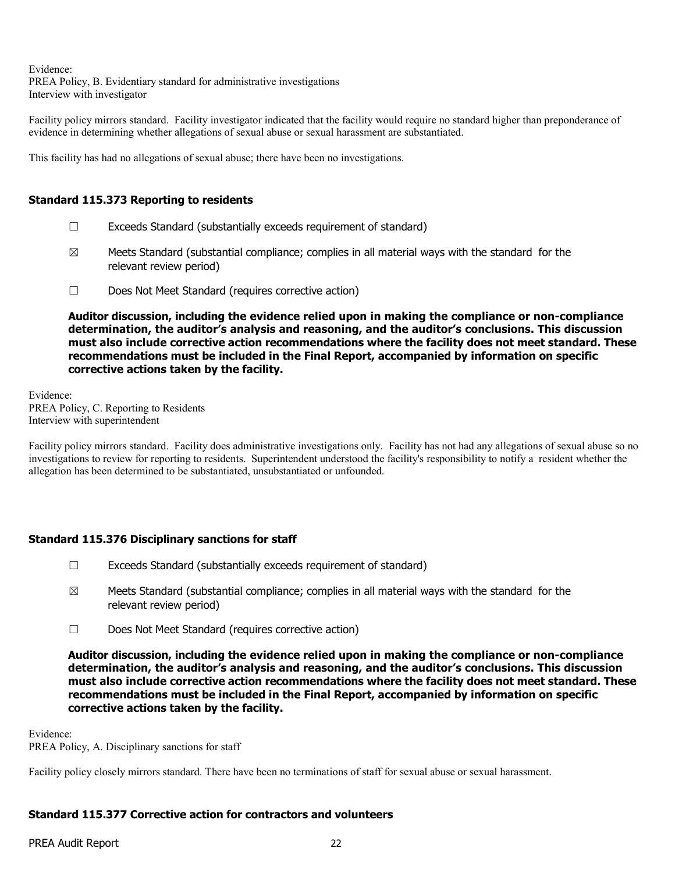Evidence:

PREA Policy, B. Evidentiary standard for administrative investigations Interview with investigator

Facility policy mirrors standard. Facility investigator indicated that the facility would require no standard higher than preponderance of evidence in determining whether allegations of sexual abuse or sexual harassment are substantiated.

This facility has had no allegations of sexual abuse; there have been no investigations.

# **Standard 115.373 Reporting to residents**

- ☐ Exceeds Standard (substantially exceeds requirement of standard)
- $\boxtimes$  Meets Standard (substantial compliance; complies in all material ways with the standard for the relevant review period)
- ☐ Does Not Meet Standard (requires corrective action)

**Auditor discussion, including the evidence relied upon in making the compliance or non-compliance determination, the auditor's analysis and reasoning, and the auditor's conclusions. This discussion must also include corrective action recommendations where the facility does not meet standard. These recommendations must be included in the Final Report, accompanied by information on specific corrective actions taken by the facility.**

Evidence: PREA Policy, C. Reporting to Residents Interview with superintendent

Facility policy mirrors standard. Facility does administrative investigations only. Facility has not had any allegations of sexual abuse so no investigations to review for reporting to residents. Superintendent understood the facility's responsibility to notify a resident whether the allegation has been determined to be substantiated, unsubstantiated or unfounded.

# **Standard 115.376 Disciplinary sanctions for staff**

- ☐ Exceeds Standard (substantially exceeds requirement of standard)
- $\boxtimes$  Meets Standard (substantial compliance; complies in all material ways with the standard for the relevant review period)
- ☐ Does Not Meet Standard (requires corrective action)

**Auditor discussion, including the evidence relied upon in making the compliance or non-compliance determination, the auditor's analysis and reasoning, and the auditor's conclusions. This discussion must also include corrective action recommendations where the facility does not meet standard. These recommendations must be included in the Final Report, accompanied by information on specific corrective actions taken by the facility.**

Evidence:

PREA Policy, A. Disciplinary sanctions for staff

Facility policy closely mirrors standard. There have been no terminations of staff for sexual abuse or sexual harassment.

### **Standard 115.377 Corrective action for contractors and volunteers**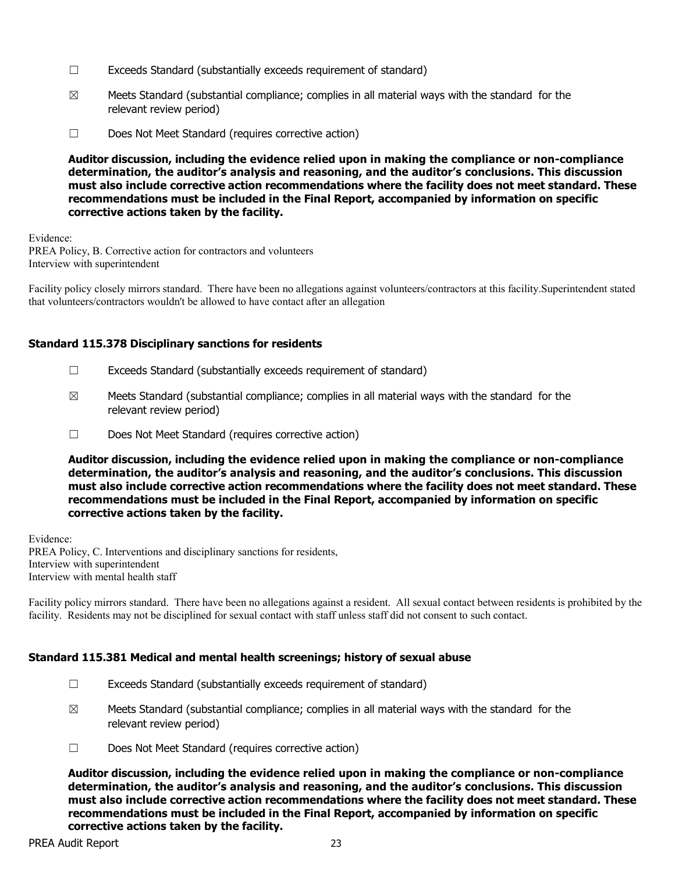- ☐ Exceeds Standard (substantially exceeds requirement of standard)
- $\boxtimes$  Meets Standard (substantial compliance; complies in all material ways with the standard for the relevant review period)
- ☐ Does Not Meet Standard (requires corrective action)

**Auditor discussion, including the evidence relied upon in making the compliance or non-compliance determination, the auditor's analysis and reasoning, and the auditor's conclusions. This discussion must also include corrective action recommendations where the facility does not meet standard. These recommendations must be included in the Final Report, accompanied by information on specific corrective actions taken by the facility.**

Evidence: PREA Policy, B. Corrective action for contractors and volunteers Interview with superintendent

Facility policy closely mirrors standard. There have been no allegations against volunteers/contractors at this facility.Superintendent stated that volunteers/contractors wouldn't be allowed to have contact after an allegation

### **Standard 115.378 Disciplinary sanctions for residents**

- ☐ Exceeds Standard (substantially exceeds requirement of standard)
- $\boxtimes$  Meets Standard (substantial compliance; complies in all material ways with the standard for the relevant review period)
- ☐ Does Not Meet Standard (requires corrective action)

**Auditor discussion, including the evidence relied upon in making the compliance or non-compliance determination, the auditor's analysis and reasoning, and the auditor's conclusions. This discussion must also include corrective action recommendations where the facility does not meet standard. These recommendations must be included in the Final Report, accompanied by information on specific corrective actions taken by the facility.**

Evidence: PREA Policy, C. Interventions and disciplinary sanctions for residents, Interview with superintendent Interview with mental health staff

Facility policy mirrors standard. There have been no allegations against a resident. All sexual contact between residents is prohibited by the facility. Residents may not be disciplined for sexual contact with staff unless staff did not consent to such contact.

#### **Standard 115.381 Medical and mental health screenings; history of sexual abuse**

- ☐ Exceeds Standard (substantially exceeds requirement of standard)
- $\boxtimes$  Meets Standard (substantial compliance; complies in all material ways with the standard for the relevant review period)
- ☐ Does Not Meet Standard (requires corrective action)

**Auditor discussion, including the evidence relied upon in making the compliance or non-compliance determination, the auditor's analysis and reasoning, and the auditor's conclusions. This discussion must also include corrective action recommendations where the facility does not meet standard. These recommendations must be included in the Final Report, accompanied by information on specific corrective actions taken by the facility.**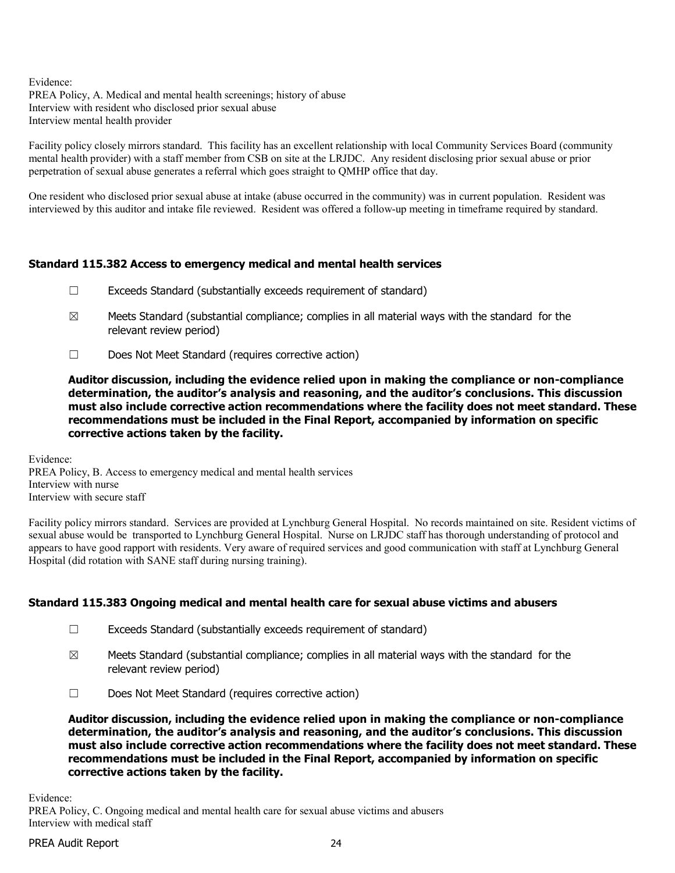Evidence:

PREA Policy, A. Medical and mental health screenings; history of abuse Interview with resident who disclosed prior sexual abuse Interview mental health provider

Facility policy closely mirrors standard. This facility has an excellent relationship with local Community Services Board (community mental health provider) with a staff member from CSB on site at the LRJDC. Any resident disclosing prior sexual abuse or prior perpetration of sexual abuse generates a referral which goes straight to QMHP office that day.

One resident who disclosed prior sexual abuse at intake (abuse occurred in the community) was in current population. Resident was interviewed by this auditor and intake file reviewed. Resident was offered a follow-up meeting in timeframe required by standard.

# **Standard 115.382 Access to emergency medical and mental health services**

- $\Box$  Exceeds Standard (substantially exceeds requirement of standard)
- $\boxtimes$  Meets Standard (substantial compliance; complies in all material ways with the standard for the relevant review period)
- ☐ Does Not Meet Standard (requires corrective action)

**Auditor discussion, including the evidence relied upon in making the compliance or non-compliance determination, the auditor's analysis and reasoning, and the auditor's conclusions. This discussion must also include corrective action recommendations where the facility does not meet standard. These recommendations must be included in the Final Report, accompanied by information on specific corrective actions taken by the facility.**

Evidence: PREA Policy, B. Access to emergency medical and mental health services Interview with nurse Interview with secure staff

Facility policy mirrors standard. Services are provided at Lynchburg General Hospital. No records maintained on site. Resident victims of sexual abuse would be transported to Lynchburg General Hospital. Nurse on LRJDC staff has thorough understanding of protocol and appears to have good rapport with residents. Very aware of required services and good communication with staff at Lynchburg General Hospital (did rotation with SANE staff during nursing training).

### **Standard 115.383 Ongoing medical and mental health care for sexual abuse victims and abusers**

- ☐ Exceeds Standard (substantially exceeds requirement of standard)
- $\boxtimes$  Meets Standard (substantial compliance; complies in all material ways with the standard for the relevant review period)
- ☐ Does Not Meet Standard (requires corrective action)

**Auditor discussion, including the evidence relied upon in making the compliance or non-compliance determination, the auditor's analysis and reasoning, and the auditor's conclusions. This discussion must also include corrective action recommendations where the facility does not meet standard. These recommendations must be included in the Final Report, accompanied by information on specific corrective actions taken by the facility.**

Evidence: PREA Policy, C. Ongoing medical and mental health care for sexual abuse victims and abusers Interview with medical staff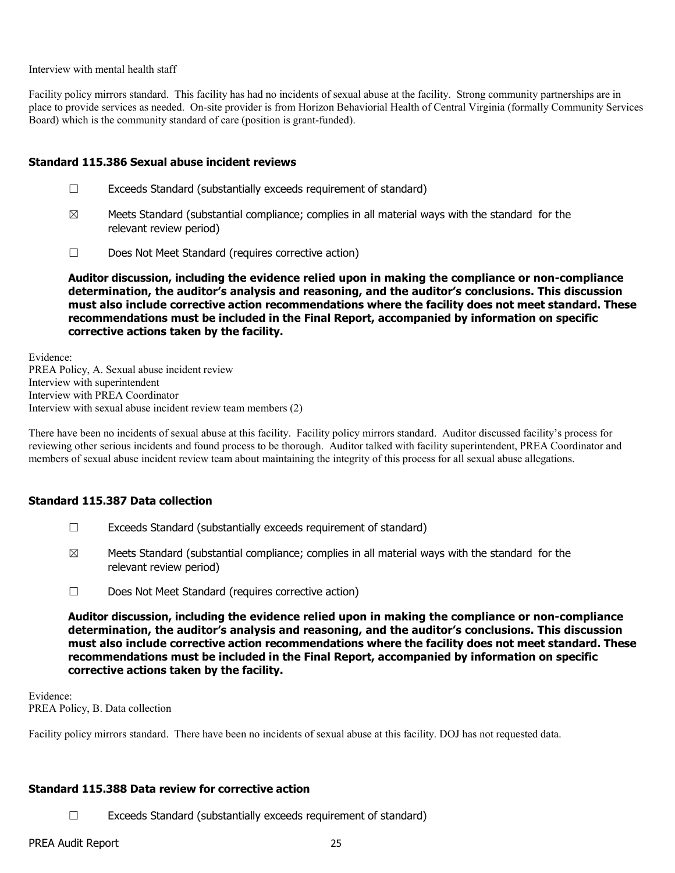Interview with mental health staff

Facility policy mirrors standard. This facility has had no incidents of sexual abuse at the facility. Strong community partnerships are in place to provide services as needed. On-site provider is from Horizon Behaviorial Health of Central Virginia (formally Community Services Board) which is the community standard of care (position is grant-funded).

#### **Standard 115.386 Sexual abuse incident reviews**

- ☐ Exceeds Standard (substantially exceeds requirement of standard)
- $\boxtimes$  Meets Standard (substantial compliance; complies in all material ways with the standard for the relevant review period)
- ☐ Does Not Meet Standard (requires corrective action)

**Auditor discussion, including the evidence relied upon in making the compliance or non-compliance determination, the auditor's analysis and reasoning, and the auditor's conclusions. This discussion must also include corrective action recommendations where the facility does not meet standard. These recommendations must be included in the Final Report, accompanied by information on specific corrective actions taken by the facility.**

Evidence: PREA Policy, A. Sexual abuse incident review Interview with superintendent Interview with PREA Coordinator Interview with sexual abuse incident review team members (2)

There have been no incidents of sexual abuse at this facility. Facility policy mirrors standard. Auditor discussed facility's process for reviewing other serious incidents and found process to be thorough. Auditor talked with facility superintendent, PREA Coordinator and members of sexual abuse incident review team about maintaining the integrity of this process for all sexual abuse allegations.

### **Standard 115.387 Data collection**

- ☐ Exceeds Standard (substantially exceeds requirement of standard)
- $\boxtimes$  Meets Standard (substantial compliance; complies in all material ways with the standard for the relevant review period)
- ☐ Does Not Meet Standard (requires corrective action)

**Auditor discussion, including the evidence relied upon in making the compliance or non-compliance determination, the auditor's analysis and reasoning, and the auditor's conclusions. This discussion must also include corrective action recommendations where the facility does not meet standard. These recommendations must be included in the Final Report, accompanied by information on specific corrective actions taken by the facility.**

Evidence: PREA Policy, B. Data collection

Facility policy mirrors standard. There have been no incidents of sexual abuse at this facility. DOJ has not requested data.

#### **Standard 115.388 Data review for corrective action**

 $\Box$  Exceeds Standard (substantially exceeds requirement of standard)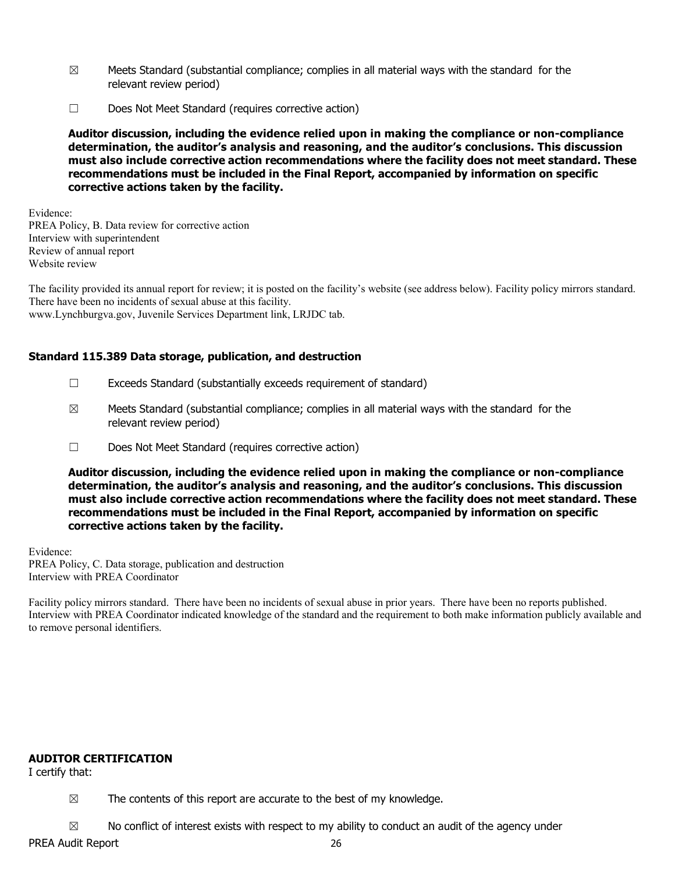- $\boxtimes$  Meets Standard (substantial compliance; complies in all material ways with the standard for the relevant review period)
- ☐ Does Not Meet Standard (requires corrective action)

**Auditor discussion, including the evidence relied upon in making the compliance or non-compliance determination, the auditor's analysis and reasoning, and the auditor's conclusions. This discussion must also include corrective action recommendations where the facility does not meet standard. These recommendations must be included in the Final Report, accompanied by information on specific corrective actions taken by the facility.**

Evidence: PREA Policy, B. Data review for corrective action Interview with superintendent Review of annual report Website review

The facility provided its annual report for review; it is posted on the facility's website (see address below). Facility policy mirrors standard. There have been no incidents of sexual abuse at this facility.

www.Lynchburgva.gov, Juvenile Services Department link, LRJDC tab.

#### **Standard 115.389 Data storage, publication, and destruction**

- ☐ Exceeds Standard (substantially exceeds requirement of standard)
- $\boxtimes$  Meets Standard (substantial compliance; complies in all material ways with the standard for the relevant review period)
- ☐ Does Not Meet Standard (requires corrective action)

**Auditor discussion, including the evidence relied upon in making the compliance or non-compliance determination, the auditor's analysis and reasoning, and the auditor's conclusions. This discussion must also include corrective action recommendations where the facility does not meet standard. These recommendations must be included in the Final Report, accompanied by information on specific corrective actions taken by the facility.**

Evidence: PREA Policy, C. Data storage, publication and destruction Interview with PREA Coordinator

Facility policy mirrors standard. There have been no incidents of sexual abuse in prior years. There have been no reports published. Interview with PREA Coordinator indicated knowledge of the standard and the requirement to both make information publicly available and to remove personal identifiers.

### **AUDITOR CERTIFICATION**

I certify that:

 $\boxtimes$  The contents of this report are accurate to the best of my knowledge.

 $\boxtimes$  No conflict of interest exists with respect to my ability to conduct an audit of the agency under

PREA Audit Report 26